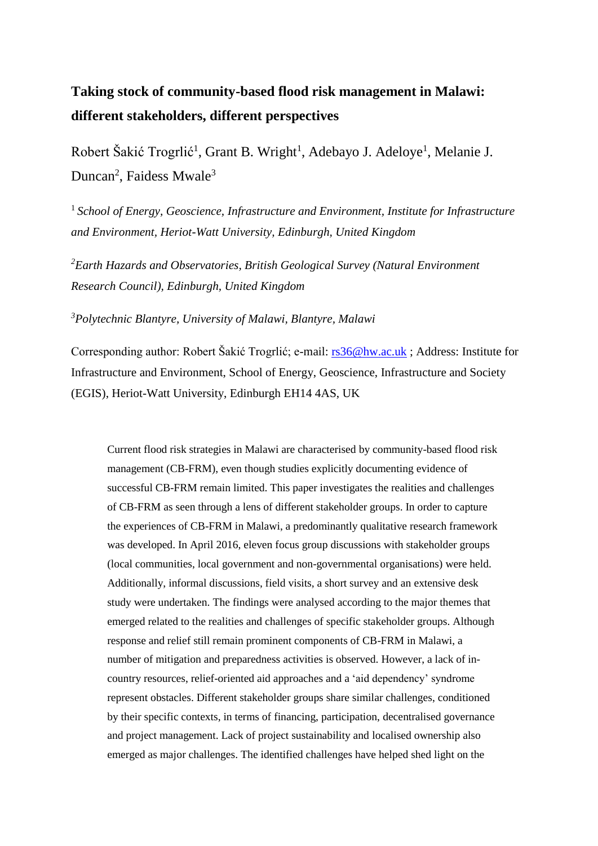# **Taking stock of community-based flood risk management in Malawi: different stakeholders, different perspectives**

Robert Šakić Trogrlić<sup>1</sup>, Grant B. Wright<sup>1</sup>, Adebayo J. Adeloye<sup>1</sup>, Melanie J. Duncan<sup>2</sup>, Faidess Mwale<sup>3</sup>

<sup>1</sup> School of Energy, Geoscience, Infrastructure and Environment, Institute for Infrastructure *and Environment, Heriot-Watt University, Edinburgh, United Kingdom*

*<sup>2</sup>Earth Hazards and Observatories, British Geological Survey (Natural Environment Research Council), Edinburgh, United Kingdom*

*<sup>3</sup>Polytechnic Blantyre, University of Malawi, Blantyre, Malawi*

Corresponding author: Robert Šakić Trogrlić; e-mail: [rs36@hw.ac.uk](mailto:rs36@hw.ac.uk) ; Address: Institute for Infrastructure and Environment, School of Energy, Geoscience, Infrastructure and Society (EGIS), Heriot-Watt University, Edinburgh EH14 4AS, UK

Current flood risk strategies in Malawi are characterised by community-based flood risk management (CB-FRM), even though studies explicitly documenting evidence of successful CB-FRM remain limited. This paper investigates the realities and challenges of CB-FRM as seen through a lens of different stakeholder groups. In order to capture the experiences of CB-FRM in Malawi, a predominantly qualitative research framework was developed. In April 2016, eleven focus group discussions with stakeholder groups (local communities, local government and non-governmental organisations) were held. Additionally, informal discussions, field visits, a short survey and an extensive desk study were undertaken. The findings were analysed according to the major themes that emerged related to the realities and challenges of specific stakeholder groups. Although response and relief still remain prominent components of CB-FRM in Malawi, a number of mitigation and preparedness activities is observed. However, a lack of incountry resources, relief-oriented aid approaches and a 'aid dependency' syndrome represent obstacles. Different stakeholder groups share similar challenges, conditioned by their specific contexts, in terms of financing, participation, decentralised governance and project management. Lack of project sustainability and localised ownership also emerged as major challenges. The identified challenges have helped shed light on the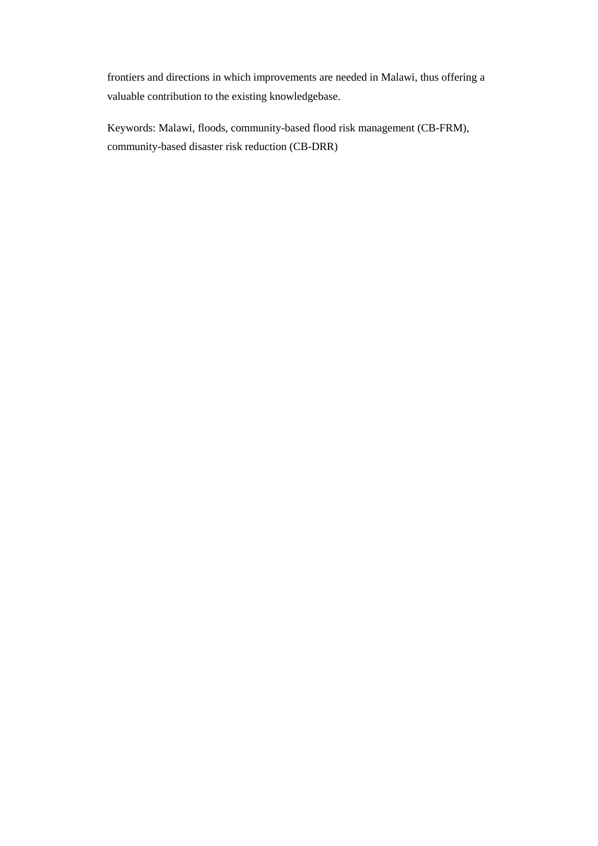frontiers and directions in which improvements are needed in Malawi, thus offering a valuable contribution to the existing knowledgebase.

Keywords: Malawi, floods, community-based flood risk management (CB-FRM), community-based disaster risk reduction (CB-DRR)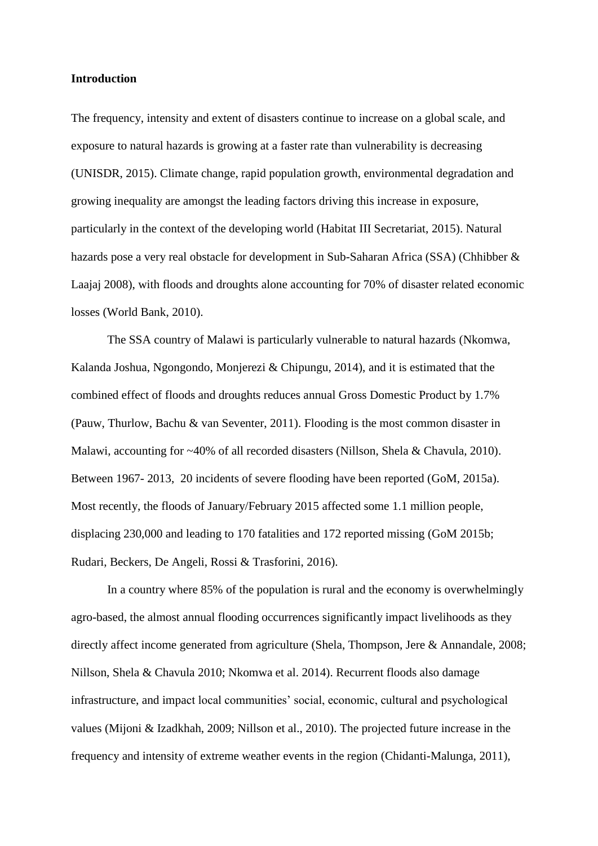### **Introduction**

The frequency, intensity and extent of disasters continue to increase on a global scale, and exposure to natural hazards is growing at a faster rate than vulnerability is decreasing (UNISDR, 2015). Climate change, rapid population growth, environmental degradation and growing inequality are amongst the leading factors driving this increase in exposure, particularly in the context of the developing world (Habitat III Secretariat, 2015). Natural hazards pose a very real obstacle for development in Sub-Saharan Africa (SSA) (Chhibber & Laajaj 2008), with floods and droughts alone accounting for 70% of disaster related economic losses (World Bank, 2010).

The SSA country of Malawi is particularly vulnerable to natural hazards (Nkomwa, Kalanda Joshua, Ngongondo, Monjerezi & Chipungu, 2014), and it is estimated that the combined effect of floods and droughts reduces annual Gross Domestic Product by 1.7% (Pauw, Thurlow, Bachu & van Seventer, 2011). Flooding is the most common disaster in Malawi, accounting for ~40% of all recorded disasters (Nillson, Shela & Chavula, 2010). Between 1967- 2013, 20 incidents of severe flooding have been reported (GoM, 2015a). Most recently, the floods of January/February 2015 affected some 1.1 million people, displacing 230,000 and leading to 170 fatalities and 172 reported missing (GoM 2015b; Rudari, Beckers, De Angeli, Rossi & Trasforini, 2016).

In a country where 85% of the population is rural and the economy is overwhelmingly agro-based, the almost annual flooding occurrences significantly impact livelihoods as they directly affect income generated from agriculture (Shela, Thompson, Jere & Annandale, 2008; Nillson, Shela & Chavula 2010; Nkomwa et al. 2014). Recurrent floods also damage infrastructure, and impact local communities' social, economic, cultural and psychological values (Mijoni & Izadkhah, 2009; Nillson et al., 2010). The projected future increase in the frequency and intensity of extreme weather events in the region (Chidanti-Malunga, 2011),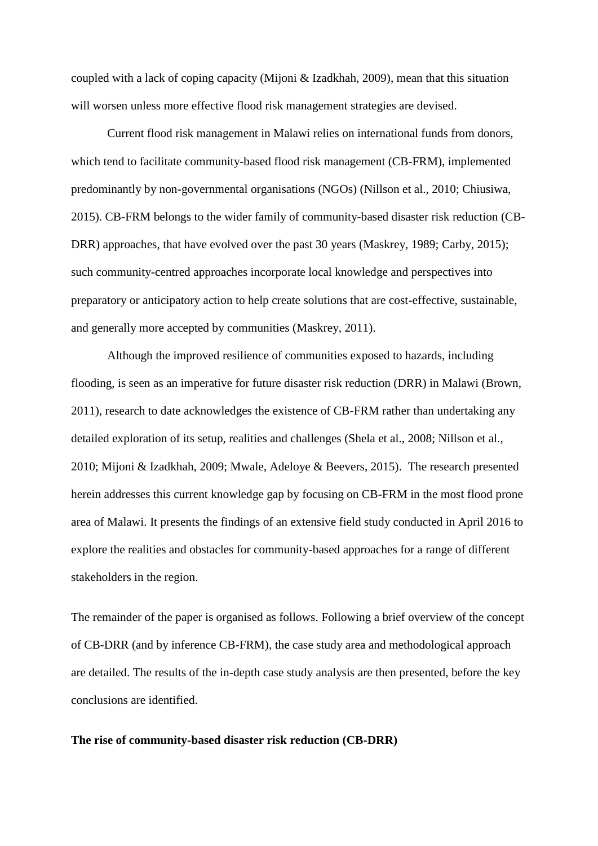coupled with a lack of coping capacity (Mijoni & Izadkhah, 2009), mean that this situation will worsen unless more effective flood risk management strategies are devised.

Current flood risk management in Malawi relies on international funds from donors, which tend to facilitate community-based flood risk management (CB-FRM), implemented predominantly by non-governmental organisations (NGOs) (Nillson et al., 2010; Chiusiwa, 2015). CB-FRM belongs to the wider family of community-based disaster risk reduction (CB-DRR) approaches, that have evolved over the past 30 years (Maskrey, 1989; Carby, 2015); such community-centred approaches incorporate local knowledge and perspectives into preparatory or anticipatory action to help create solutions that are cost-effective, sustainable, and generally more accepted by communities (Maskrey, 2011).

Although the improved resilience of communities exposed to hazards, including flooding, is seen as an imperative for future disaster risk reduction (DRR) in Malawi (Brown, 2011), research to date acknowledges the existence of CB-FRM rather than undertaking any detailed exploration of its setup, realities and challenges (Shela et al., 2008; Nillson et al., 2010; Mijoni & Izadkhah, 2009; Mwale, Adeloye & Beevers, 2015). The research presented herein addresses this current knowledge gap by focusing on CB-FRM in the most flood prone area of Malawi. It presents the findings of an extensive field study conducted in April 2016 to explore the realities and obstacles for community-based approaches for a range of different stakeholders in the region.

The remainder of the paper is organised as follows. Following a brief overview of the concept of CB-DRR (and by inference CB-FRM), the case study area and methodological approach are detailed. The results of the in-depth case study analysis are then presented, before the key conclusions are identified.

#### **The rise of community-based disaster risk reduction (CB-DRR)**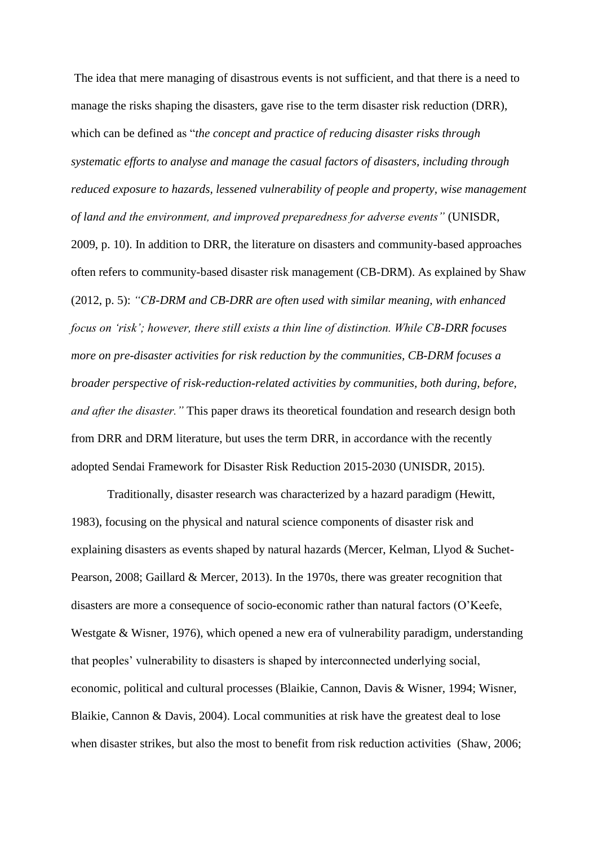The idea that mere managing of disastrous events is not sufficient, and that there is a need to manage the risks shaping the disasters, gave rise to the term disaster risk reduction (DRR), which can be defined as "*the concept and practice of reducing disaster risks through systematic efforts to analyse and manage the casual factors of disasters, including through reduced exposure to hazards, lessened vulnerability of people and property, wise management of land and the environment, and improved preparedness for adverse events"* (UNISDR, 2009, p. 10). In addition to DRR, the literature on disasters and community-based approaches often refers to community-based disaster risk management (CB-DRM). As explained by Shaw (2012, p. 5): *"CB-DRM and CB-DRR are often used with similar meaning, with enhanced focus on 'risk'; however, there still exists a thin line of distinction. While CB-DRR focuses more on pre-disaster activities for risk reduction by the communities, CB-DRM focuses a broader perspective of risk-reduction-related activities by communities, both during, before, and after the disaster."* This paper draws its theoretical foundation and research design both from DRR and DRM literature, but uses the term DRR, in accordance with the recently adopted Sendai Framework for Disaster Risk Reduction 2015-2030 (UNISDR, 2015).

Traditionally, disaster research was characterized by a hazard paradigm (Hewitt, 1983), focusing on the physical and natural science components of disaster risk and explaining disasters as events shaped by natural hazards (Mercer, Kelman, Llyod & Suchet-Pearson, 2008; Gaillard & Mercer, 2013). In the 1970s, there was greater recognition that disasters are more a consequence of socio-economic rather than natural factors (O'Keefe, Westgate & Wisner, 1976), which opened a new era of vulnerability paradigm, understanding that peoples' vulnerability to disasters is shaped by interconnected underlying social, economic, political and cultural processes (Blaikie, Cannon, Davis & Wisner, 1994; Wisner, Blaikie, Cannon & Davis, 2004). Local communities at risk have the greatest deal to lose when disaster strikes, but also the most to benefit from risk reduction activities (Shaw, 2006;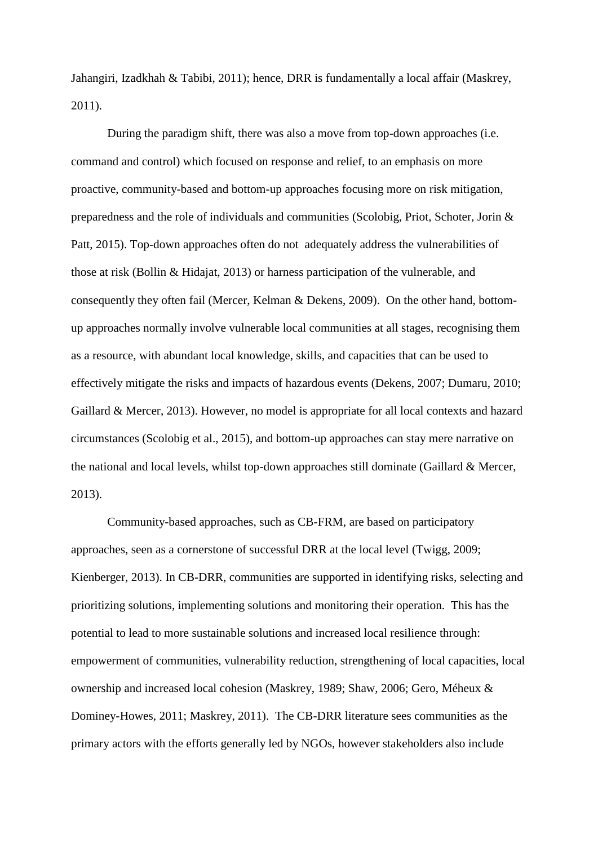Jahangiri, Izadkhah & Tabibi, 2011); hence, DRR is fundamentally a local affair (Maskrey, 2011).

During the paradigm shift, there was also a move from top-down approaches (i.e. command and control) which focused on response and relief, to an emphasis on more proactive, community-based and bottom-up approaches focusing more on risk mitigation, preparedness and the role of individuals and communities (Scolobig, Priot, Schoter, Jorin & Patt, 2015). Top-down approaches often do not adequately address the vulnerabilities of those at risk (Bollin & Hidajat, 2013) or harness participation of the vulnerable, and consequently they often fail (Mercer, Kelman & Dekens, 2009). On the other hand, bottomup approaches normally involve vulnerable local communities at all stages, recognising them as a resource, with abundant local knowledge, skills, and capacities that can be used to effectively mitigate the risks and impacts of hazardous events (Dekens, 2007; Dumaru, 2010; Gaillard & Mercer, 2013). However, no model is appropriate for all local contexts and hazard circumstances (Scolobig et al., 2015), and bottom-up approaches can stay mere narrative on the national and local levels, whilst top-down approaches still dominate (Gaillard & Mercer, 2013).

Community-based approaches, such as CB-FRM, are based on participatory approaches, seen as a cornerstone of successful DRR at the local level (Twigg, 2009; Kienberger, 2013). In CB-DRR, communities are supported in identifying risks, selecting and prioritizing solutions, implementing solutions and monitoring their operation. This has the potential to lead to more sustainable solutions and increased local resilience through: empowerment of communities, vulnerability reduction, strengthening of local capacities, local ownership and increased local cohesion (Maskrey, 1989; Shaw, 2006; Gero, Méheux & Dominey-Howes, 2011; Maskrey, 2011). The CB-DRR literature sees communities as the primary actors with the efforts generally led by NGOs, however stakeholders also include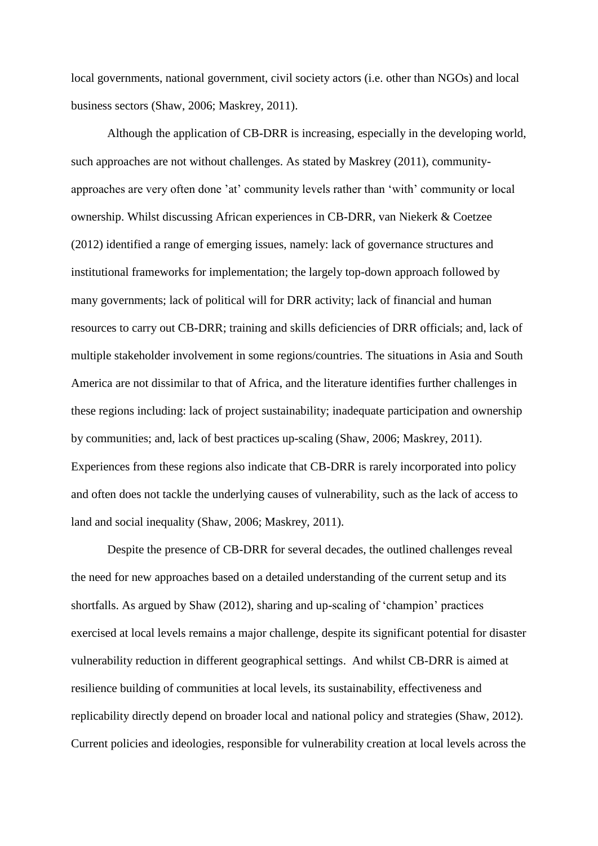local governments, national government, civil society actors (i.e. other than NGOs) and local business sectors (Shaw, 2006; Maskrey, 2011).

Although the application of CB-DRR is increasing, especially in the developing world, such approaches are not without challenges. As stated by Maskrey (2011), communityapproaches are very often done 'at' community levels rather than 'with' community or local ownership. Whilst discussing African experiences in CB-DRR, van Niekerk & Coetzee (2012) identified a range of emerging issues, namely: lack of governance structures and institutional frameworks for implementation; the largely top-down approach followed by many governments; lack of political will for DRR activity; lack of financial and human resources to carry out CB-DRR; training and skills deficiencies of DRR officials; and, lack of multiple stakeholder involvement in some regions/countries. The situations in Asia and South America are not dissimilar to that of Africa, and the literature identifies further challenges in these regions including: lack of project sustainability; inadequate participation and ownership by communities; and, lack of best practices up-scaling (Shaw, 2006; Maskrey, 2011). Experiences from these regions also indicate that CB-DRR is rarely incorporated into policy and often does not tackle the underlying causes of vulnerability, such as the lack of access to land and social inequality (Shaw, 2006; Maskrey, 2011).

Despite the presence of CB-DRR for several decades, the outlined challenges reveal the need for new approaches based on a detailed understanding of the current setup and its shortfalls. As argued by Shaw (2012), sharing and up-scaling of 'champion' practices exercised at local levels remains a major challenge, despite its significant potential for disaster vulnerability reduction in different geographical settings. And whilst CB-DRR is aimed at resilience building of communities at local levels, its sustainability, effectiveness and replicability directly depend on broader local and national policy and strategies (Shaw, 2012). Current policies and ideologies, responsible for vulnerability creation at local levels across the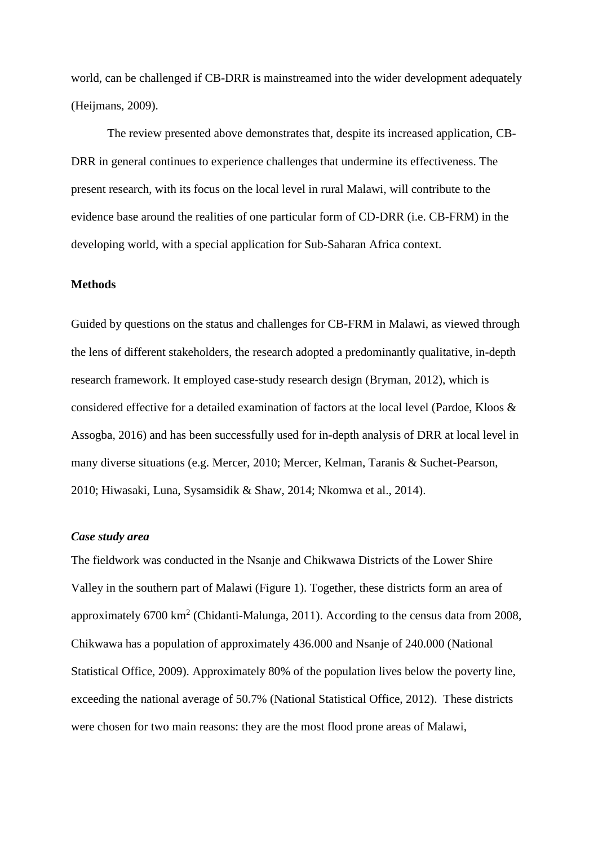world, can be challenged if CB-DRR is mainstreamed into the wider development adequately (Heijmans, 2009).

The review presented above demonstrates that, despite its increased application, CB-DRR in general continues to experience challenges that undermine its effectiveness. The present research, with its focus on the local level in rural Malawi, will contribute to the evidence base around the realities of one particular form of CD-DRR (i.e. CB-FRM) in the developing world, with a special application for Sub-Saharan Africa context.

## **Methods**

Guided by questions on the status and challenges for CB-FRM in Malawi, as viewed through the lens of different stakeholders, the research adopted a predominantly qualitative, in-depth research framework. It employed case-study research design (Bryman, 2012), which is considered effective for a detailed examination of factors at the local level (Pardoe, Kloos & Assogba, 2016) and has been successfully used for in-depth analysis of DRR at local level in many diverse situations (e.g. Mercer, 2010; Mercer, Kelman, Taranis & Suchet-Pearson, 2010; Hiwasaki, Luna, Sysamsidik & Shaw, 2014; Nkomwa et al., 2014).

### *Case study area*

The fieldwork was conducted in the Nsanje and Chikwawa Districts of the Lower Shire Valley in the southern part of Malawi (Figure 1). Together, these districts form an area of approximately  $6700 \text{ km}^2$  (Chidanti-Malunga, 2011). According to the census data from 2008, Chikwawa has a population of approximately 436.000 and Nsanje of 240.000 (National Statistical Office, 2009). Approximately 80% of the population lives below the poverty line, exceeding the national average of 50.7% (National Statistical Office, 2012). These districts were chosen for two main reasons: they are the most flood prone areas of Malawi,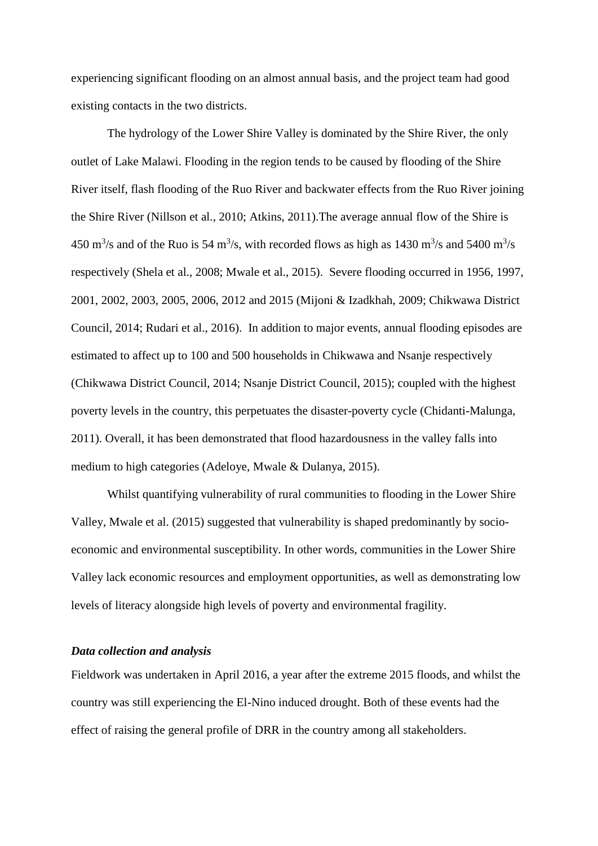experiencing significant flooding on an almost annual basis, and the project team had good existing contacts in the two districts.

The hydrology of the Lower Shire Valley is dominated by the Shire River, the only outlet of Lake Malawi. Flooding in the region tends to be caused by flooding of the Shire River itself, flash flooding of the Ruo River and backwater effects from the Ruo River joining the Shire River (Nillson et al., 2010; Atkins, 2011).The average annual flow of the Shire is 450 m<sup>3</sup>/s and of the Ruo is 54 m<sup>3</sup>/s, with recorded flows as high as 1430 m<sup>3</sup>/s and 5400 m<sup>3</sup>/s respectively (Shela et al., 2008; Mwale et al., 2015). Severe flooding occurred in 1956, 1997, 2001, 2002, 2003, 2005, 2006, 2012 and 2015 (Mijoni & Izadkhah, 2009; Chikwawa District Council, 2014; Rudari et al., 2016). In addition to major events, annual flooding episodes are estimated to affect up to 100 and 500 households in Chikwawa and Nsanje respectively (Chikwawa District Council, 2014; Nsanje District Council, 2015); coupled with the highest poverty levels in the country, this perpetuates the disaster-poverty cycle (Chidanti-Malunga, 2011). Overall, it has been demonstrated that flood hazardousness in the valley falls into medium to high categories (Adeloye, Mwale & Dulanya, 2015).

Whilst quantifying vulnerability of rural communities to flooding in the Lower Shire Valley, Mwale et al. (2015) suggested that vulnerability is shaped predominantly by socioeconomic and environmental susceptibility. In other words, communities in the Lower Shire Valley lack economic resources and employment opportunities, as well as demonstrating low levels of literacy alongside high levels of poverty and environmental fragility.

#### *Data collection and analysis*

Fieldwork was undertaken in April 2016, a year after the extreme 2015 floods, and whilst the country was still experiencing the El-Nino induced drought. Both of these events had the effect of raising the general profile of DRR in the country among all stakeholders.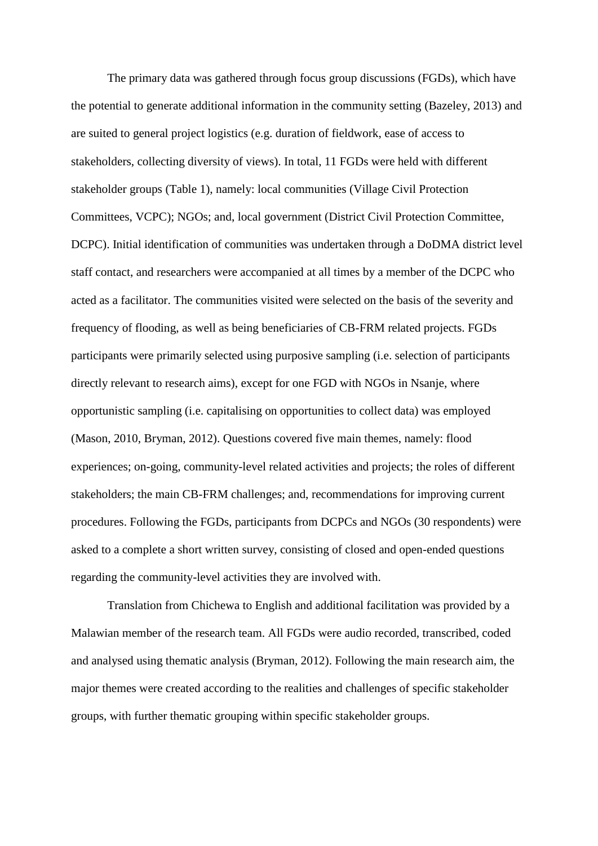The primary data was gathered through focus group discussions (FGDs), which have the potential to generate additional information in the community setting (Bazeley, 2013) and are suited to general project logistics (e.g. duration of fieldwork, ease of access to stakeholders, collecting diversity of views). In total, 11 FGDs were held with different stakeholder groups (Table 1), namely: local communities (Village Civil Protection Committees, VCPC); NGOs; and, local government (District Civil Protection Committee, DCPC). Initial identification of communities was undertaken through a DoDMA district level staff contact, and researchers were accompanied at all times by a member of the DCPC who acted as a facilitator. The communities visited were selected on the basis of the severity and frequency of flooding, as well as being beneficiaries of CB-FRM related projects. FGDs participants were primarily selected using purposive sampling (i.e. selection of participants directly relevant to research aims), except for one FGD with NGOs in Nsanje, where opportunistic sampling (i.e. capitalising on opportunities to collect data) was employed (Mason, 2010, Bryman, 2012). Questions covered five main themes, namely: flood experiences; on-going, community-level related activities and projects; the roles of different stakeholders; the main CB-FRM challenges; and, recommendations for improving current procedures. Following the FGDs, participants from DCPCs and NGOs (30 respondents) were asked to a complete a short written survey, consisting of closed and open-ended questions regarding the community-level activities they are involved with.

Translation from Chichewa to English and additional facilitation was provided by a Malawian member of the research team. All FGDs were audio recorded, transcribed, coded and analysed using thematic analysis (Bryman, 2012). Following the main research aim, the major themes were created according to the realities and challenges of specific stakeholder groups, with further thematic grouping within specific stakeholder groups.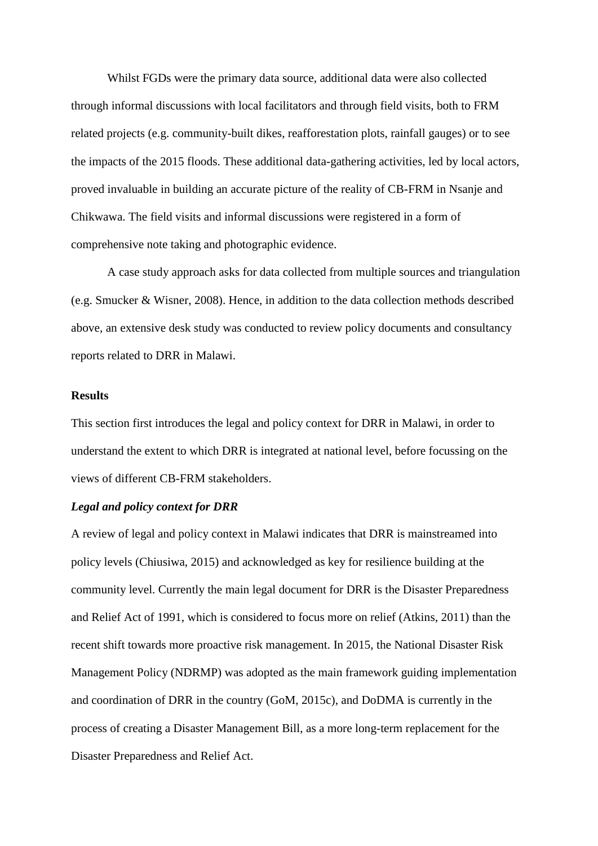Whilst FGDs were the primary data source, additional data were also collected through informal discussions with local facilitators and through field visits, both to FRM related projects (e.g. community-built dikes, reafforestation plots, rainfall gauges) or to see the impacts of the 2015 floods. These additional data-gathering activities, led by local actors, proved invaluable in building an accurate picture of the reality of CB-FRM in Nsanje and Chikwawa. The field visits and informal discussions were registered in a form of comprehensive note taking and photographic evidence.

A case study approach asks for data collected from multiple sources and triangulation (e.g. Smucker & Wisner, 2008). Hence, in addition to the data collection methods described above, an extensive desk study was conducted to review policy documents and consultancy reports related to DRR in Malawi.

# **Results**

This section first introduces the legal and policy context for DRR in Malawi, in order to understand the extent to which DRR is integrated at national level, before focussing on the views of different CB-FRM stakeholders.

### *Legal and policy context for DRR*

A review of legal and policy context in Malawi indicates that DRR is mainstreamed into policy levels (Chiusiwa, 2015) and acknowledged as key for resilience building at the community level. Currently the main legal document for DRR is the Disaster Preparedness and Relief Act of 1991, which is considered to focus more on relief (Atkins, 2011) than the recent shift towards more proactive risk management. In 2015, the National Disaster Risk Management Policy (NDRMP) was adopted as the main framework guiding implementation and coordination of DRR in the country (GoM, 2015c), and DoDMA is currently in the process of creating a Disaster Management Bill, as a more long-term replacement for the Disaster Preparedness and Relief Act.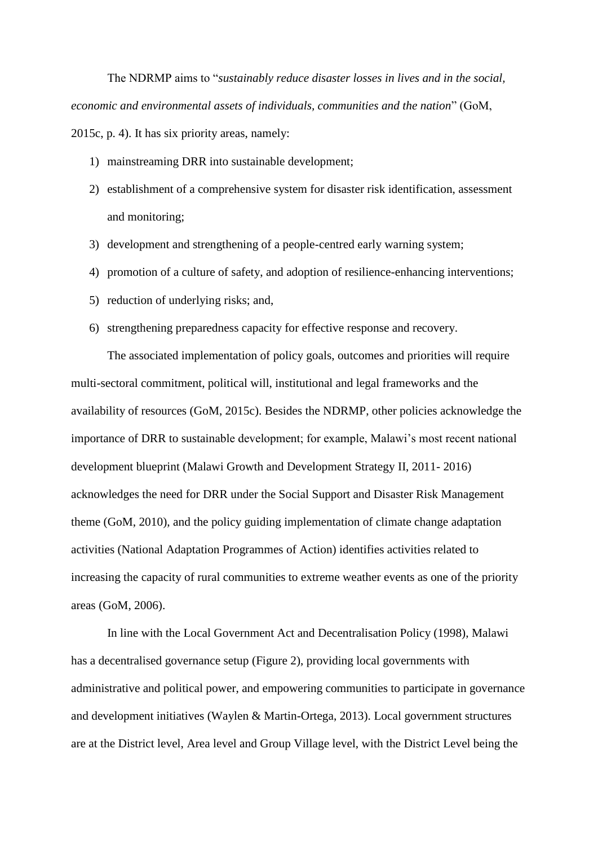The NDRMP aims to "*sustainably reduce disaster losses in lives and in the social, economic and environmental assets of individuals, communities and the nation*" (GoM, 2015c, p. 4). It has six priority areas, namely:

- 1) mainstreaming DRR into sustainable development;
- 2) establishment of a comprehensive system for disaster risk identification, assessment and monitoring;
- 3) development and strengthening of a people-centred early warning system;
- 4) promotion of a culture of safety, and adoption of resilience-enhancing interventions;
- 5) reduction of underlying risks; and,
- 6) strengthening preparedness capacity for effective response and recovery.

The associated implementation of policy goals, outcomes and priorities will require multi-sectoral commitment, political will, institutional and legal frameworks and the availability of resources (GoM, 2015c). Besides the NDRMP, other policies acknowledge the importance of DRR to sustainable development; for example, Malawi's most recent national development blueprint (Malawi Growth and Development Strategy II, 2011- 2016) acknowledges the need for DRR under the Social Support and Disaster Risk Management theme (GoM, 2010), and the policy guiding implementation of climate change adaptation activities (National Adaptation Programmes of Action) identifies activities related to increasing the capacity of rural communities to extreme weather events as one of the priority areas (GoM, 2006).

In line with the Local Government Act and Decentralisation Policy (1998), Malawi has a decentralised governance setup (Figure 2), providing local governments with administrative and political power, and empowering communities to participate in governance and development initiatives (Waylen & Martin-Ortega, 2013). Local government structures are at the District level, Area level and Group Village level, with the District Level being the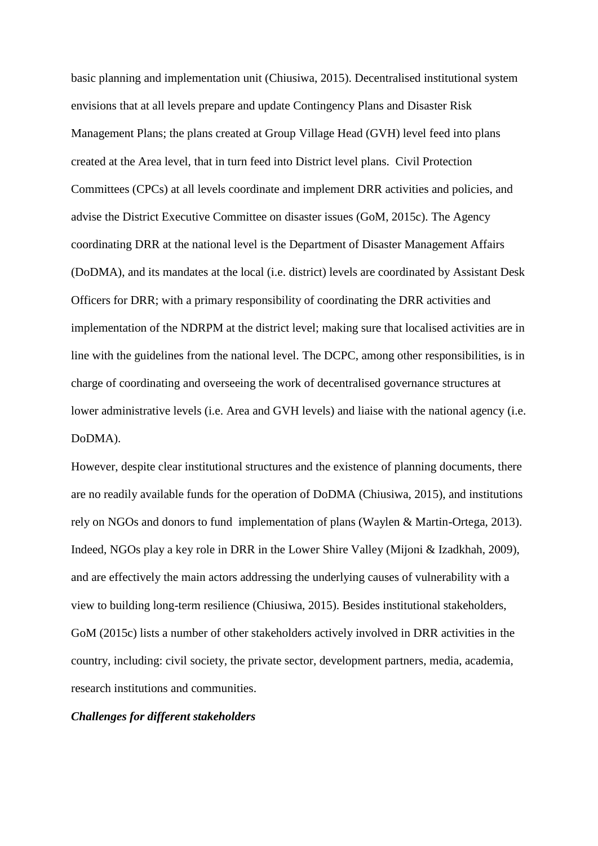basic planning and implementation unit (Chiusiwa, 2015). Decentralised institutional system envisions that at all levels prepare and update Contingency Plans and Disaster Risk Management Plans; the plans created at Group Village Head (GVH) level feed into plans created at the Area level, that in turn feed into District level plans. Civil Protection Committees (CPCs) at all levels coordinate and implement DRR activities and policies, and advise the District Executive Committee on disaster issues (GoM, 2015c). The Agency coordinating DRR at the national level is the Department of Disaster Management Affairs (DoDMA), and its mandates at the local (i.e. district) levels are coordinated by Assistant Desk Officers for DRR; with a primary responsibility of coordinating the DRR activities and implementation of the NDRPM at the district level; making sure that localised activities are in line with the guidelines from the national level. The DCPC, among other responsibilities, is in charge of coordinating and overseeing the work of decentralised governance structures at lower administrative levels (i.e. Area and GVH levels) and liaise with the national agency (i.e. DoDMA).

However, despite clear institutional structures and the existence of planning documents, there are no readily available funds for the operation of DoDMA (Chiusiwa, 2015), and institutions rely on NGOs and donors to fund implementation of plans (Waylen & Martin-Ortega, 2013). Indeed, NGOs play a key role in DRR in the Lower Shire Valley (Mijoni & Izadkhah, 2009), and are effectively the main actors addressing the underlying causes of vulnerability with a view to building long-term resilience (Chiusiwa, 2015). Besides institutional stakeholders, GoM (2015c) lists a number of other stakeholders actively involved in DRR activities in the country, including: civil society, the private sector, development partners, media, academia, research institutions and communities.

### *Challenges for different stakeholders*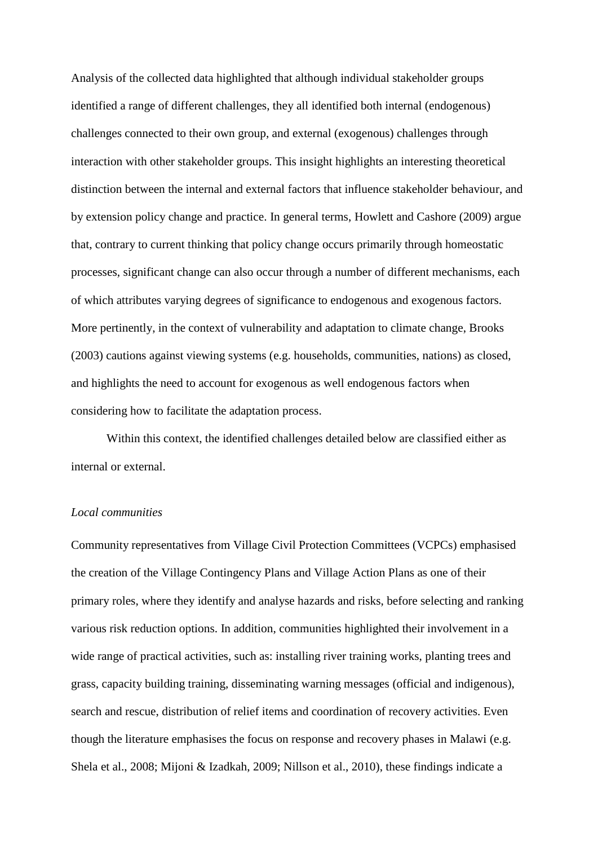Analysis of the collected data highlighted that although individual stakeholder groups identified a range of different challenges, they all identified both internal (endogenous) challenges connected to their own group, and external (exogenous) challenges through interaction with other stakeholder groups. This insight highlights an interesting theoretical distinction between the internal and external factors that influence stakeholder behaviour, and by extension policy change and practice. In general terms, Howlett and Cashore (2009) argue that, contrary to current thinking that policy change occurs primarily through homeostatic processes, significant change can also occur through a number of different mechanisms, each of which attributes varying degrees of significance to endogenous and exogenous factors. More pertinently, in the context of vulnerability and adaptation to climate change, Brooks (2003) cautions against viewing systems (e.g. households, communities, nations) as closed, and highlights the need to account for exogenous as well endogenous factors when considering how to facilitate the adaptation process.

Within this context, the identified challenges detailed below are classified either as internal or external.

#### *Local communities*

Community representatives from Village Civil Protection Committees (VCPCs) emphasised the creation of the Village Contingency Plans and Village Action Plans as one of their primary roles, where they identify and analyse hazards and risks, before selecting and ranking various risk reduction options. In addition, communities highlighted their involvement in a wide range of practical activities, such as: installing river training works, planting trees and grass, capacity building training, disseminating warning messages (official and indigenous), search and rescue, distribution of relief items and coordination of recovery activities. Even though the literature emphasises the focus on response and recovery phases in Malawi (e.g. Shela et al., 2008; Mijoni & Izadkah, 2009; Nillson et al., 2010), these findings indicate a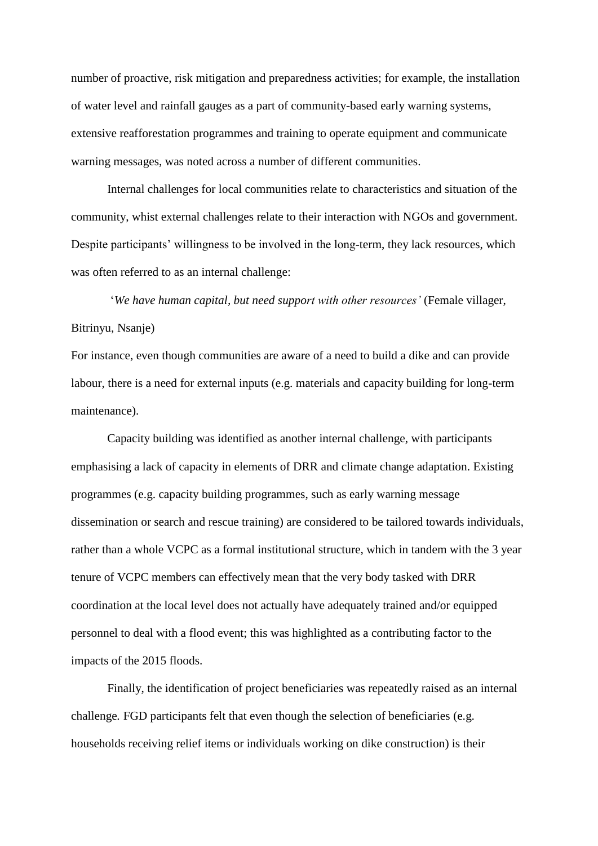number of proactive, risk mitigation and preparedness activities; for example, the installation of water level and rainfall gauges as a part of community-based early warning systems, extensive reafforestation programmes and training to operate equipment and communicate warning messages, was noted across a number of different communities.

Internal challenges for local communities relate to characteristics and situation of the community, whist external challenges relate to their interaction with NGOs and government. Despite participants' willingness to be involved in the long-term, they lack resources, which was often referred to as an internal challenge:

'*We have human capital, but need support with other resources'* (Female villager, Bitrinyu, Nsanje)

For instance, even though communities are aware of a need to build a dike and can provide labour, there is a need for external inputs (e.g. materials and capacity building for long-term maintenance).

Capacity building was identified as another internal challenge, with participants emphasising a lack of capacity in elements of DRR and climate change adaptation. Existing programmes (e.g. capacity building programmes, such as early warning message dissemination or search and rescue training) are considered to be tailored towards individuals, rather than a whole VCPC as a formal institutional structure, which in tandem with the 3 year tenure of VCPC members can effectively mean that the very body tasked with DRR coordination at the local level does not actually have adequately trained and/or equipped personnel to deal with a flood event; this was highlighted as a contributing factor to the impacts of the 2015 floods.

Finally, the identification of project beneficiaries was repeatedly raised as an internal challenge*.* FGD participants felt that even though the selection of beneficiaries (e.g. households receiving relief items or individuals working on dike construction) is their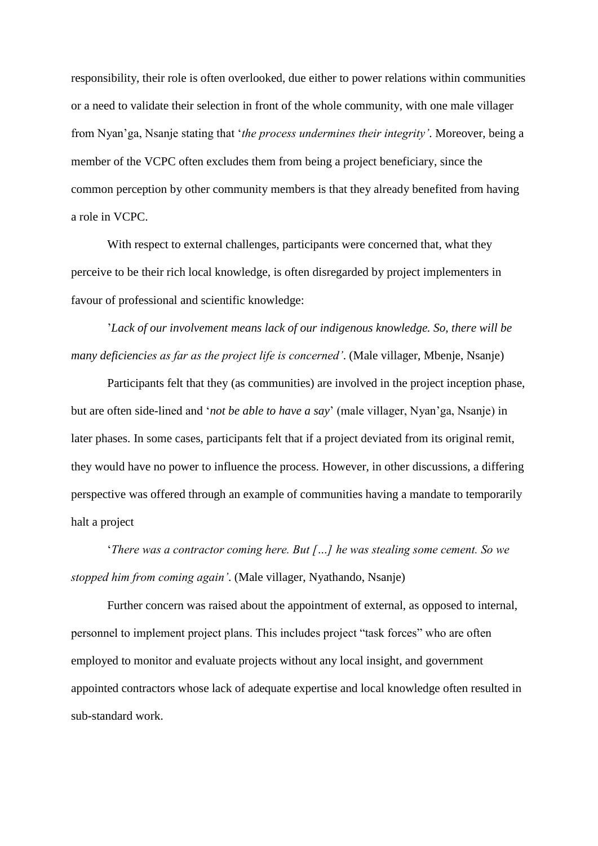responsibility, their role is often overlooked, due either to power relations within communities or a need to validate their selection in front of the whole community, with one male villager from Nyan'ga, Nsanje stating that '*the process undermines their integrity'*. Moreover, being a member of the VCPC often excludes them from being a project beneficiary, since the common perception by other community members is that they already benefited from having a role in VCPC.

With respect to external challenges, participants were concerned that, what they perceive to be their rich local knowledge, is often disregarded by project implementers in favour of professional and scientific knowledge:

'*Lack of our involvement means lack of our indigenous knowledge. So, there will be many deficiencies as far as the project life is concerned'*. (Male villager, Mbenje, Nsanje)

Participants felt that they (as communities) are involved in the project inception phase, but are often side-lined and '*not be able to have a say*' (male villager, Nyan'ga, Nsanje) in later phases. In some cases, participants felt that if a project deviated from its original remit, they would have no power to influence the process. However, in other discussions, a differing perspective was offered through an example of communities having a mandate to temporarily halt a project

'*There was a contractor coming here. But […] he was stealing some cement. So we stopped him from coming again'*. (Male villager, Nyathando, Nsanje)

Further concern was raised about the appointment of external, as opposed to internal, personnel to implement project plans. This includes project "task forces" who are often employed to monitor and evaluate projects without any local insight, and government appointed contractors whose lack of adequate expertise and local knowledge often resulted in sub-standard work.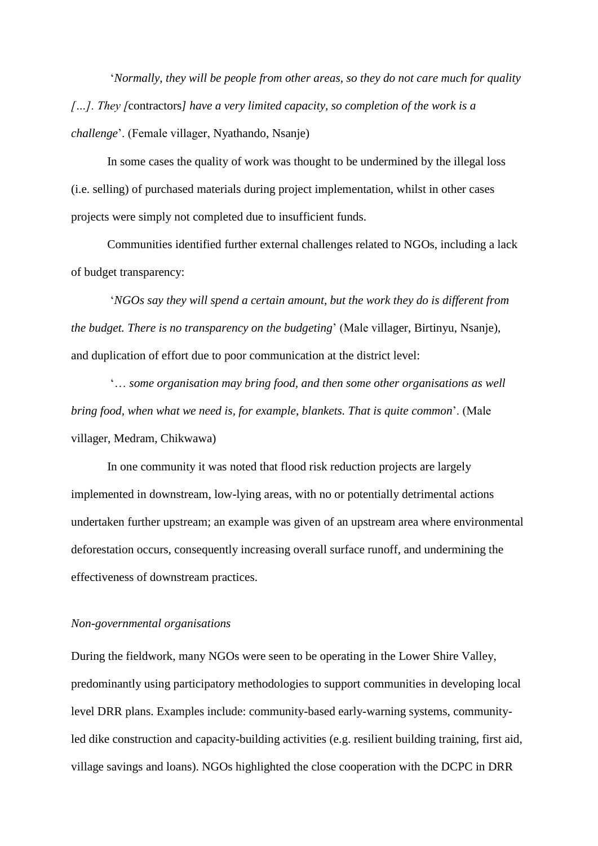'*Normally, they will be people from other areas, so they do not care much for quality […]. They [*contractors*] have a very limited capacity, so completion of the work is a challenge*'. (Female villager, Nyathando, Nsanje)

In some cases the quality of work was thought to be undermined by the illegal loss (i.e. selling) of purchased materials during project implementation, whilst in other cases projects were simply not completed due to insufficient funds.

Communities identified further external challenges related to NGOs, including a lack of budget transparency:

'*NGOs say they will spend a certain amount, but the work they do is different from the budget. There is no transparency on the budgeting*' (Male villager, Birtinyu, Nsanje), and duplication of effort due to poor communication at the district level:

'… *some organisation may bring food, and then some other organisations as well bring food, when what we need is, for example, blankets. That is quite common*'. (Male villager, Medram, Chikwawa)

In one community it was noted that flood risk reduction projects are largely implemented in downstream, low-lying areas, with no or potentially detrimental actions undertaken further upstream; an example was given of an upstream area where environmental deforestation occurs, consequently increasing overall surface runoff, and undermining the effectiveness of downstream practices.

### *Non-governmental organisations*

During the fieldwork, many NGOs were seen to be operating in the Lower Shire Valley, predominantly using participatory methodologies to support communities in developing local level DRR plans. Examples include: community-based early-warning systems, communityled dike construction and capacity-building activities (e.g. resilient building training, first aid, village savings and loans). NGOs highlighted the close cooperation with the DCPC in DRR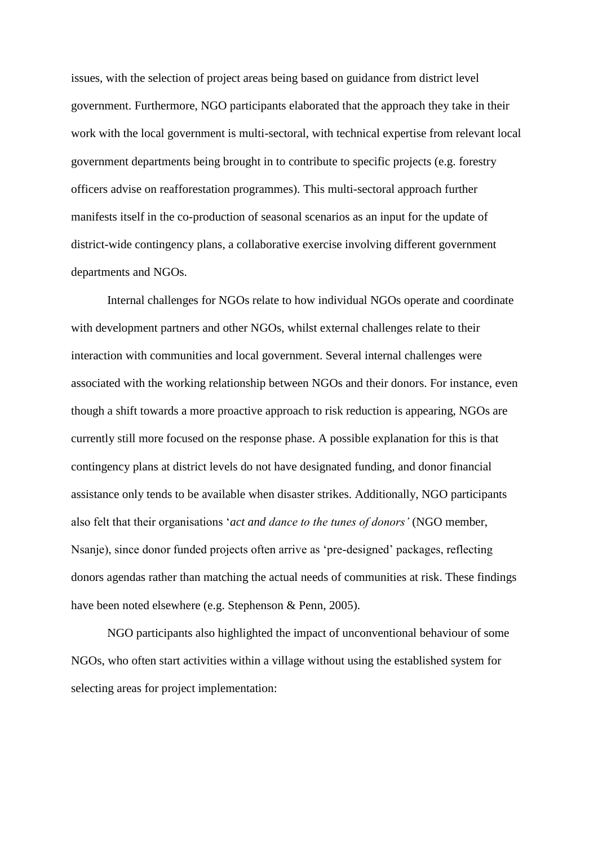issues, with the selection of project areas being based on guidance from district level government. Furthermore, NGO participants elaborated that the approach they take in their work with the local government is multi-sectoral, with technical expertise from relevant local government departments being brought in to contribute to specific projects (e.g. forestry officers advise on reafforestation programmes). This multi-sectoral approach further manifests itself in the co-production of seasonal scenarios as an input for the update of district-wide contingency plans, a collaborative exercise involving different government departments and NGOs.

Internal challenges for NGOs relate to how individual NGOs operate and coordinate with development partners and other NGOs, whilst external challenges relate to their interaction with communities and local government. Several internal challenges were associated with the working relationship between NGOs and their donors. For instance, even though a shift towards a more proactive approach to risk reduction is appearing, NGOs are currently still more focused on the response phase. A possible explanation for this is that contingency plans at district levels do not have designated funding, and donor financial assistance only tends to be available when disaster strikes. Additionally, NGO participants also felt that their organisations '*act and dance to the tunes of donors'* (NGO member, Nsanje), since donor funded projects often arrive as 'pre-designed' packages, reflecting donors agendas rather than matching the actual needs of communities at risk. These findings have been noted elsewhere (e.g. Stephenson & Penn, 2005).

NGO participants also highlighted the impact of unconventional behaviour of some NGOs, who often start activities within a village without using the established system for selecting areas for project implementation: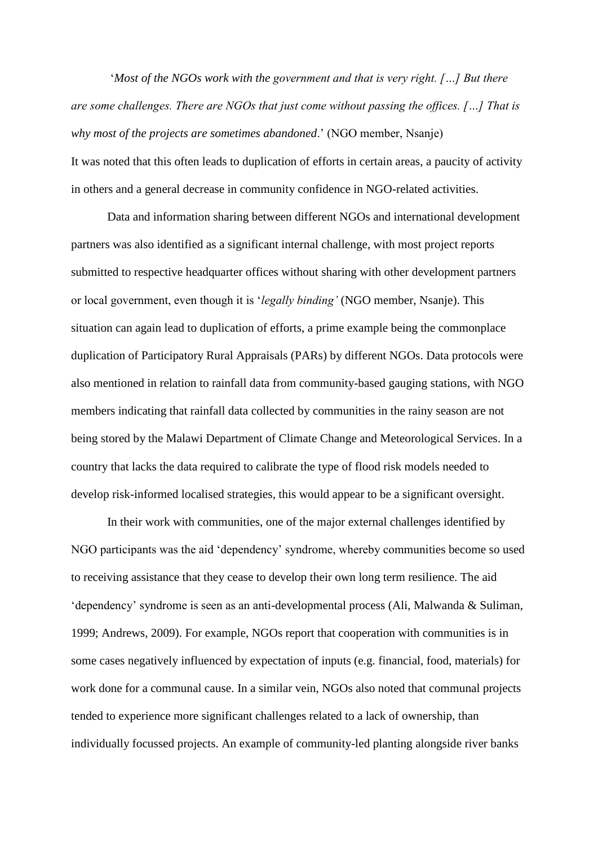'*Most of the NGOs work with the government and that is very right. […] But there are some challenges. There are NGOs that just come without passing the offices. […] That is why most of the projects are sometimes abandoned*.' (NGO member, Nsanje) It was noted that this often leads to duplication of efforts in certain areas, a paucity of activity in others and a general decrease in community confidence in NGO-related activities.

Data and information sharing between different NGOs and international development partners was also identified as a significant internal challenge, with most project reports submitted to respective headquarter offices without sharing with other development partners or local government, even though it is '*legally binding'* (NGO member, Nsanje). This situation can again lead to duplication of efforts, a prime example being the commonplace duplication of Participatory Rural Appraisals (PARs) by different NGOs. Data protocols were also mentioned in relation to rainfall data from community-based gauging stations, with NGO members indicating that rainfall data collected by communities in the rainy season are not being stored by the Malawi Department of Climate Change and Meteorological Services. In a country that lacks the data required to calibrate the type of flood risk models needed to develop risk-informed localised strategies, this would appear to be a significant oversight.

In their work with communities, one of the major external challenges identified by NGO participants was the aid 'dependency' syndrome, whereby communities become so used to receiving assistance that they cease to develop their own long term resilience. The aid 'dependency' syndrome is seen as an anti-developmental process (Ali, Malwanda & Suliman, 1999; Andrews, 2009). For example, NGOs report that cooperation with communities is in some cases negatively influenced by expectation of inputs (e.g. financial, food, materials) for work done for a communal cause. In a similar vein, NGOs also noted that communal projects tended to experience more significant challenges related to a lack of ownership, than individually focussed projects. An example of community-led planting alongside river banks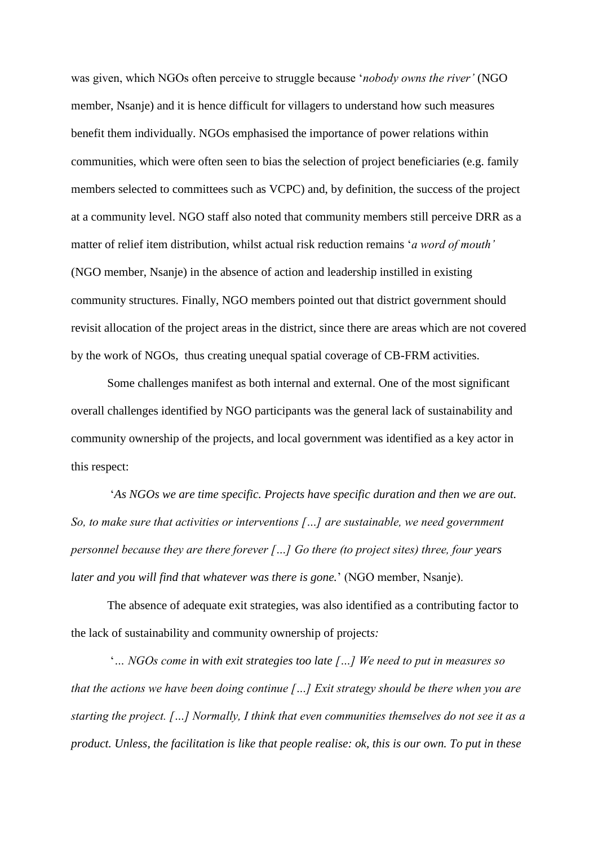was given, which NGOs often perceive to struggle because '*nobody owns the river'* (NGO member, Nsanje) and it is hence difficult for villagers to understand how such measures benefit them individually. NGOs emphasised the importance of power relations within communities, which were often seen to bias the selection of project beneficiaries (e.g. family members selected to committees such as VCPC) and, by definition, the success of the project at a community level. NGO staff also noted that community members still perceive DRR as a matter of relief item distribution, whilst actual risk reduction remains '*a word of mouth'*  (NGO member, Nsanje) in the absence of action and leadership instilled in existing community structures. Finally, NGO members pointed out that district government should revisit allocation of the project areas in the district, since there are areas which are not covered by the work of NGOs, thus creating unequal spatial coverage of CB-FRM activities.

Some challenges manifest as both internal and external. One of the most significant overall challenges identified by NGO participants was the general lack of sustainability and community ownership of the projects, and local government was identified as a key actor in this respect:

'*As NGOs we are time specific. Projects have specific duration and then we are out. So, to make sure that activities or interventions […] are sustainable, we need government personnel because they are there forever [...] Go there (to project sites) three, four years later and you will find that whatever was there is gone.*' (NGO member, Nsanje).

The absence of adequate exit strategies, was also identified as a contributing factor to the lack of sustainability and community ownership of project*s:*

'*… NGOs come in with exit strategies too late […] We need to put in measures so that the actions we have been doing continue […] Exit strategy should be there when you are starting the project. […] Normally, I think that even communities themselves do not see it as a product. Unless, the facilitation is like that people realise: ok, this is our own. To put in these*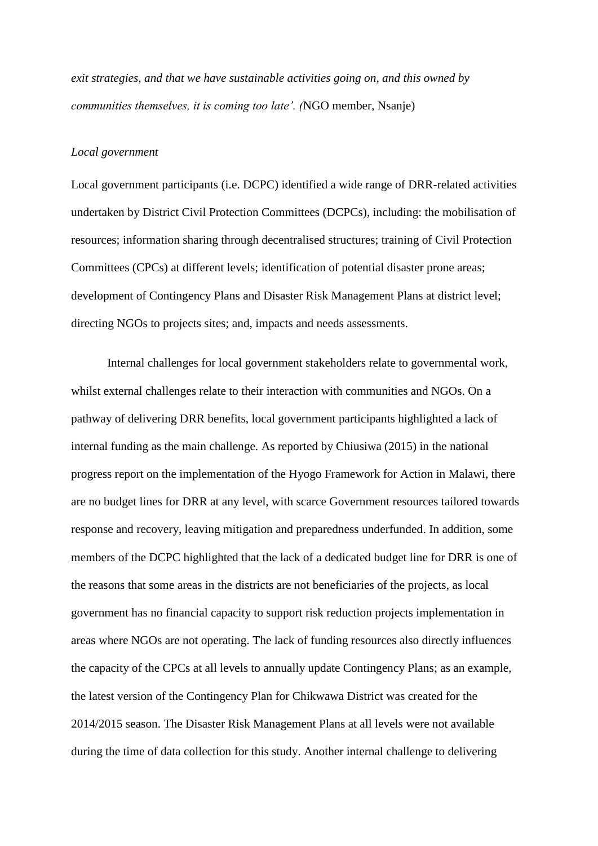*exit strategies, and that we have sustainable activities going on, and this owned by communities themselves, it is coming too late'. (*NGO member, Nsanje)

#### *Local government*

Local government participants (i.e. DCPC) identified a wide range of DRR-related activities undertaken by District Civil Protection Committees (DCPCs), including: the mobilisation of resources; information sharing through decentralised structures; training of Civil Protection Committees (CPCs) at different levels; identification of potential disaster prone areas; development of Contingency Plans and Disaster Risk Management Plans at district level; directing NGOs to projects sites; and, impacts and needs assessments.

Internal challenges for local government stakeholders relate to governmental work, whilst external challenges relate to their interaction with communities and NGOs. On a pathway of delivering DRR benefits, local government participants highlighted a lack of internal funding as the main challenge. As reported by Chiusiwa (2015) in the national progress report on the implementation of the Hyogo Framework for Action in Malawi, there are no budget lines for DRR at any level, with scarce Government resources tailored towards response and recovery, leaving mitigation and preparedness underfunded. In addition, some members of the DCPC highlighted that the lack of a dedicated budget line for DRR is one of the reasons that some areas in the districts are not beneficiaries of the projects, as local government has no financial capacity to support risk reduction projects implementation in areas where NGOs are not operating. The lack of funding resources also directly influences the capacity of the CPCs at all levels to annually update Contingency Plans; as an example, the latest version of the Contingency Plan for Chikwawa District was created for the 2014/2015 season. The Disaster Risk Management Plans at all levels were not available during the time of data collection for this study. Another internal challenge to delivering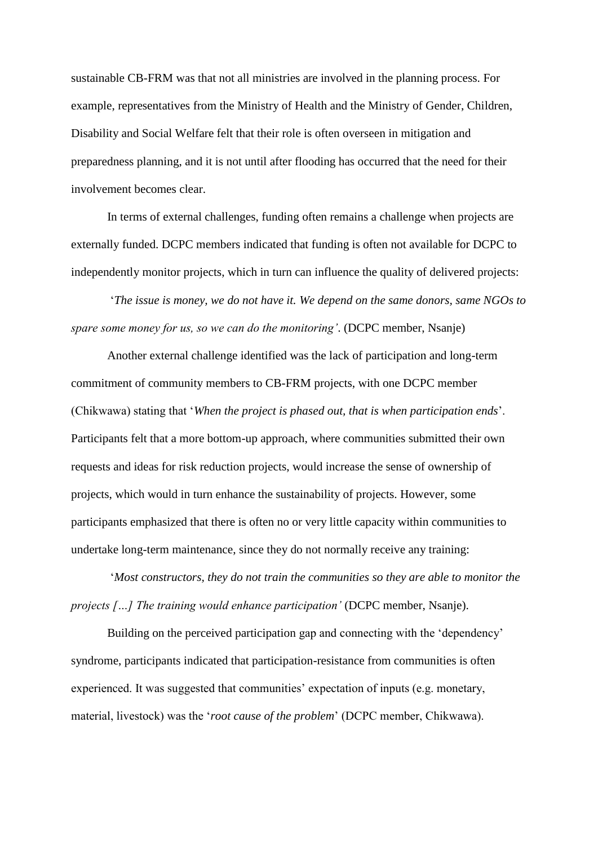sustainable CB-FRM was that not all ministries are involved in the planning process. For example, representatives from the Ministry of Health and the Ministry of Gender, Children, Disability and Social Welfare felt that their role is often overseen in mitigation and preparedness planning, and it is not until after flooding has occurred that the need for their involvement becomes clear.

In terms of external challenges, funding often remains a challenge when projects are externally funded. DCPC members indicated that funding is often not available for DCPC to independently monitor projects, which in turn can influence the quality of delivered projects:

'*The issue is money, we do not have it. We depend on the same donors, same NGOs to spare some money for us, so we can do the monitoring'*. (DCPC member, Nsanje)

Another external challenge identified was the lack of participation and long-term commitment of community members to CB-FRM projects, with one DCPC member (Chikwawa) stating that '*When the project is phased out, that is when participation ends*'. Participants felt that a more bottom-up approach, where communities submitted their own requests and ideas for risk reduction projects, would increase the sense of ownership of projects, which would in turn enhance the sustainability of projects. However, some participants emphasized that there is often no or very little capacity within communities to undertake long-term maintenance, since they do not normally receive any training:

'*Most constructors, they do not train the communities so they are able to monitor the projects […] The training would enhance participation'* (DCPC member, Nsanje).

Building on the perceived participation gap and connecting with the 'dependency' syndrome, participants indicated that participation-resistance from communities is often experienced. It was suggested that communities' expectation of inputs (e.g. monetary, material, livestock) was the '*root cause of the problem*' (DCPC member, Chikwawa).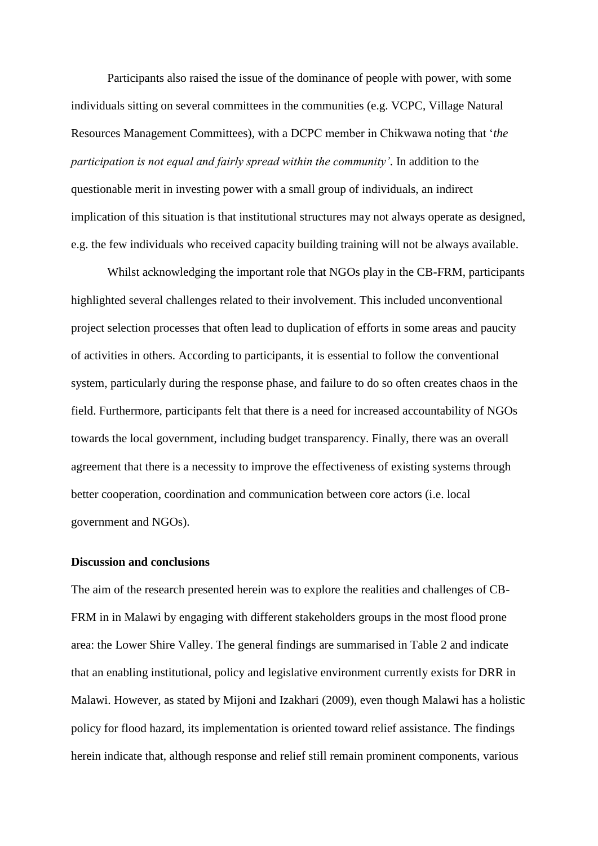Participants also raised the issue of the dominance of people with power, with some individuals sitting on several committees in the communities (e.g. VCPC, Village Natural Resources Management Committees), with a DCPC member in Chikwawa noting that '*the participation is not equal and fairly spread within the community'*. In addition to the questionable merit in investing power with a small group of individuals, an indirect implication of this situation is that institutional structures may not always operate as designed, e.g. the few individuals who received capacity building training will not be always available.

Whilst acknowledging the important role that NGOs play in the CB-FRM, participants highlighted several challenges related to their involvement. This included unconventional project selection processes that often lead to duplication of efforts in some areas and paucity of activities in others. According to participants, it is essential to follow the conventional system, particularly during the response phase, and failure to do so often creates chaos in the field. Furthermore, participants felt that there is a need for increased accountability of NGOs towards the local government, including budget transparency. Finally, there was an overall agreement that there is a necessity to improve the effectiveness of existing systems through better cooperation, coordination and communication between core actors (i.e. local government and NGOs).

#### **Discussion and conclusions**

The aim of the research presented herein was to explore the realities and challenges of CB-FRM in in Malawi by engaging with different stakeholders groups in the most flood prone area: the Lower Shire Valley. The general findings are summarised in Table 2 and indicate that an enabling institutional, policy and legislative environment currently exists for DRR in Malawi. However, as stated by Mijoni and Izakhari (2009), even though Malawi has a holistic policy for flood hazard, its implementation is oriented toward relief assistance. The findings herein indicate that, although response and relief still remain prominent components, various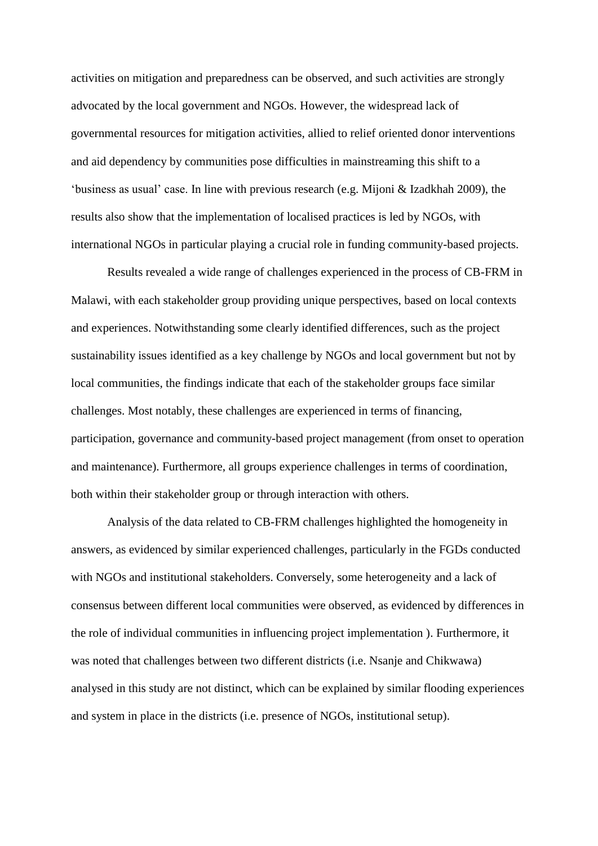activities on mitigation and preparedness can be observed, and such activities are strongly advocated by the local government and NGOs. However, the widespread lack of governmental resources for mitigation activities, allied to relief oriented donor interventions and aid dependency by communities pose difficulties in mainstreaming this shift to a 'business as usual' case. In line with previous research (e.g. Mijoni & Izadkhah 2009), the results also show that the implementation of localised practices is led by NGOs, with international NGOs in particular playing a crucial role in funding community-based projects.

Results revealed a wide range of challenges experienced in the process of CB-FRM in Malawi, with each stakeholder group providing unique perspectives, based on local contexts and experiences. Notwithstanding some clearly identified differences, such as the project sustainability issues identified as a key challenge by NGOs and local government but not by local communities, the findings indicate that each of the stakeholder groups face similar challenges. Most notably, these challenges are experienced in terms of financing, participation, governance and community-based project management (from onset to operation and maintenance). Furthermore, all groups experience challenges in terms of coordination, both within their stakeholder group or through interaction with others.

Analysis of the data related to CB-FRM challenges highlighted the homogeneity in answers, as evidenced by similar experienced challenges, particularly in the FGDs conducted with NGOs and institutional stakeholders. Conversely, some heterogeneity and a lack of consensus between different local communities were observed, as evidenced by differences in the role of individual communities in influencing project implementation ). Furthermore, it was noted that challenges between two different districts (i.e. Nsanje and Chikwawa) analysed in this study are not distinct, which can be explained by similar flooding experiences and system in place in the districts (i.e. presence of NGOs, institutional setup).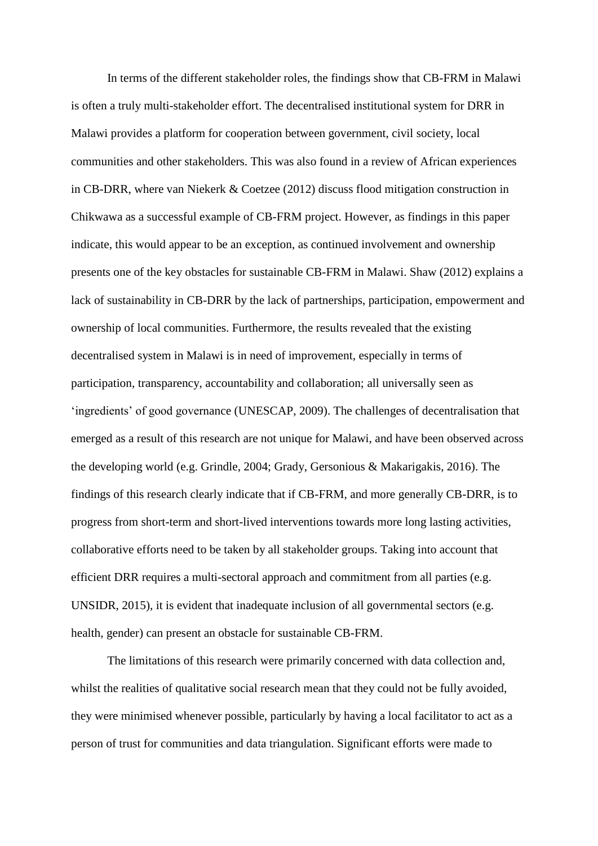In terms of the different stakeholder roles, the findings show that CB-FRM in Malawi is often a truly multi-stakeholder effort. The decentralised institutional system for DRR in Malawi provides a platform for cooperation between government, civil society, local communities and other stakeholders. This was also found in a review of African experiences in CB-DRR, where van Niekerk & Coetzee (2012) discuss flood mitigation construction in Chikwawa as a successful example of CB-FRM project. However, as findings in this paper indicate, this would appear to be an exception, as continued involvement and ownership presents one of the key obstacles for sustainable CB-FRM in Malawi. Shaw (2012) explains a lack of sustainability in CB-DRR by the lack of partnerships, participation, empowerment and ownership of local communities. Furthermore, the results revealed that the existing decentralised system in Malawi is in need of improvement, especially in terms of participation, transparency, accountability and collaboration; all universally seen as 'ingredients' of good governance (UNESCAP, 2009). The challenges of decentralisation that emerged as a result of this research are not unique for Malawi, and have been observed across the developing world (e.g. Grindle, 2004; Grady, Gersonious & Makarigakis, 2016). The findings of this research clearly indicate that if CB-FRM, and more generally CB-DRR, is to progress from short-term and short-lived interventions towards more long lasting activities, collaborative efforts need to be taken by all stakeholder groups. Taking into account that efficient DRR requires a multi-sectoral approach and commitment from all parties (e.g. UNSIDR, 2015), it is evident that inadequate inclusion of all governmental sectors (e.g. health, gender) can present an obstacle for sustainable CB-FRM.

The limitations of this research were primarily concerned with data collection and, whilst the realities of qualitative social research mean that they could not be fully avoided, they were minimised whenever possible, particularly by having a local facilitator to act as a person of trust for communities and data triangulation. Significant efforts were made to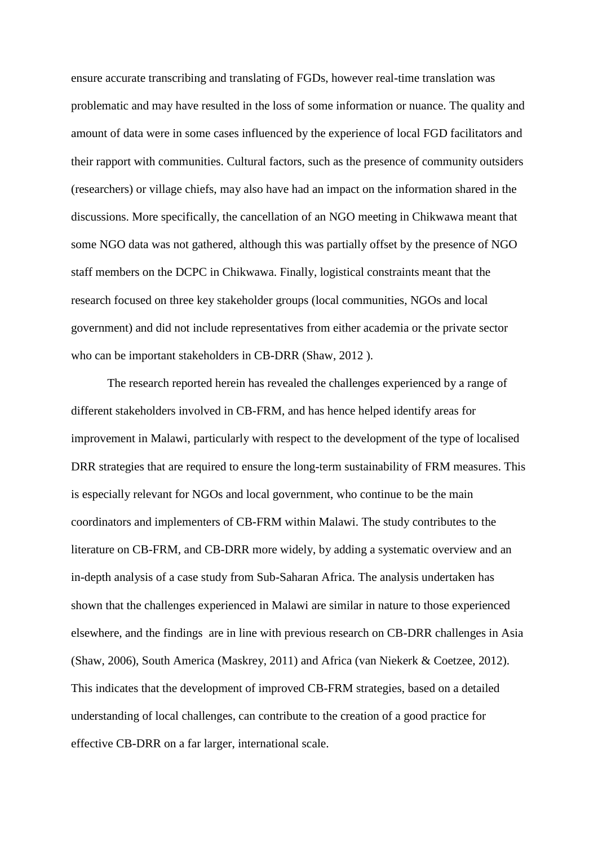ensure accurate transcribing and translating of FGDs, however real-time translation was problematic and may have resulted in the loss of some information or nuance. The quality and amount of data were in some cases influenced by the experience of local FGD facilitators and their rapport with communities. Cultural factors, such as the presence of community outsiders (researchers) or village chiefs, may also have had an impact on the information shared in the discussions. More specifically, the cancellation of an NGO meeting in Chikwawa meant that some NGO data was not gathered, although this was partially offset by the presence of NGO staff members on the DCPC in Chikwawa. Finally, logistical constraints meant that the research focused on three key stakeholder groups (local communities, NGOs and local government) and did not include representatives from either academia or the private sector who can be important stakeholders in CB-DRR (Shaw, 2012 ).

The research reported herein has revealed the challenges experienced by a range of different stakeholders involved in CB-FRM, and has hence helped identify areas for improvement in Malawi, particularly with respect to the development of the type of localised DRR strategies that are required to ensure the long-term sustainability of FRM measures. This is especially relevant for NGOs and local government, who continue to be the main coordinators and implementers of CB-FRM within Malawi. The study contributes to the literature on CB-FRM, and CB-DRR more widely, by adding a systematic overview and an in-depth analysis of a case study from Sub-Saharan Africa. The analysis undertaken has shown that the challenges experienced in Malawi are similar in nature to those experienced elsewhere, and the findings are in line with previous research on CB-DRR challenges in Asia (Shaw, 2006), South America (Maskrey, 2011) and Africa (van Niekerk & Coetzee, 2012). This indicates that the development of improved CB-FRM strategies, based on a detailed understanding of local challenges, can contribute to the creation of a good practice for effective CB-DRR on a far larger, international scale.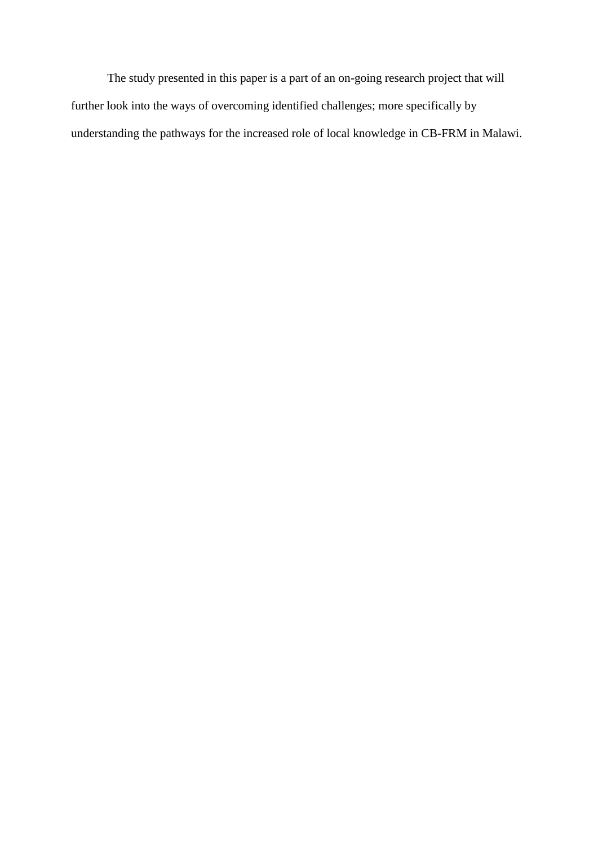The study presented in this paper is a part of an on-going research project that will further look into the ways of overcoming identified challenges; more specifically by understanding the pathways for the increased role of local knowledge in CB-FRM in Malawi.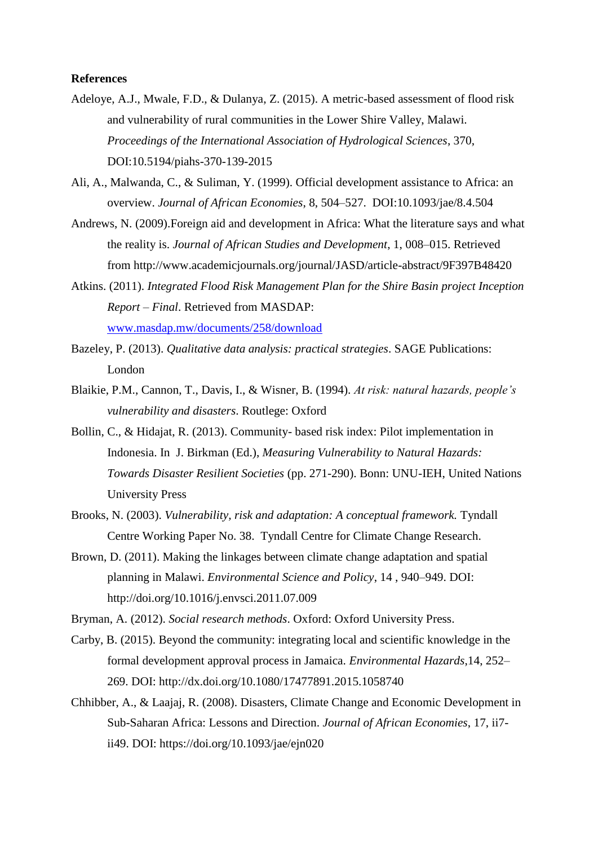### **References**

- Adeloye, A.J., Mwale, F.D., & Dulanya, Z. (2015). A metric-based assessment of flood risk and vulnerability of rural communities in the Lower Shire Valley, Malawi. *Proceedings of the International Association of Hydrological Sciences*, 370, DOI:10.5194/piahs-370-139-2015
- Ali, A., Malwanda, C., & Suliman, Y. (1999). Official development assistance to Africa: an overview. *Journal of African Economies*, 8, 504–527. DOI:10.1093/jae/8.4.504
- Andrews, N. (2009).Foreign aid and development in Africa: What the literature says and what the reality is. *Journal of African Studies and Development*, 1, 008–015. Retrieved from http://www.academicjournals.org/journal/JASD/article-abstract/9F397B48420
- Atkins. (2011). *Integrated Flood Risk Management Plan for the Shire Basin project Inception Report – Final*. Retrieved from MASDAP: [www.masdap.mw/documents/258/download](http://www.masdap.mw/documents/258/download)
- Bazeley, P. (2013). *Qualitative data analysis: practical strategies*. SAGE Publications: London
- Blaikie, P.M., Cannon, T., Davis, I., & Wisner, B. (1994). *At risk: natural hazards, people's vulnerability and disasters*. Routlege: Oxford
- Bollin, C., & Hidajat, R. (2013). Community- based risk index: Pilot implementation in Indonesia. In J. Birkman (Ed.), *Measuring Vulnerability to Natural Hazards: Towards Disaster Resilient Societies* (pp. 271-290). Bonn: UNU-IEH, United Nations University Press
- Brooks, N. (2003). *Vulnerability, risk and adaptation: A conceptual framework.* Tyndall Centre Working Paper No. 38. Tyndall Centre for Climate Change Research.
- Brown, D. (2011). Making the linkages between climate change adaptation and spatial planning in Malawi. *Environmental Science and Policy*, 14 , 940–949. DOI: http://doi.org/10.1016/j.envsci.2011.07.009

Bryman, A. (2012). *Social research methods*. Oxford: Oxford University Press.

- Carby, B. (2015). Beyond the community: integrating local and scientific knowledge in the formal development approval process in Jamaica. *Environmental Hazards*,14, 252– 269. DOI: http://dx.doi.org/10.1080/17477891.2015.1058740
- Chhibber, A., & Laajaj, R. (2008). Disasters, Climate Change and Economic Development in Sub-Saharan Africa: Lessons and Direction. *Journal of African Economies*, 17, ii7 ii49. DOI: https://doi.org/10.1093/jae/ejn020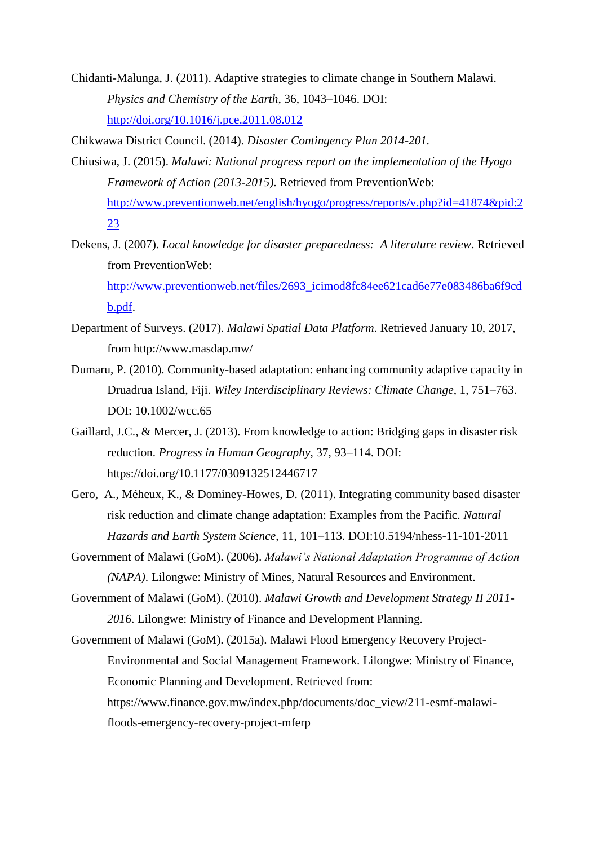- Chidanti-Malunga, J. (2011). Adaptive strategies to climate change in Southern Malawi. *Physics and Chemistry of the Earth*, 36, 1043–1046. DOI: <http://doi.org/10.1016/j.pce.2011.08.012>
- Chikwawa District Council. (2014). *Disaster Contingency Plan 2014-201.*
- Chiusiwa, J. (2015). *Malawi: National progress report on the implementation of the Hyogo Framework of Action (2013-2015)*. Retrieved from PreventionWeb: [http://www.preventionweb.net/english/hyogo/progress/reports/v.php?id=41874&pid:2](http://www.preventionweb.net/english/hyogo/progress/reports/v.php?id=41874&pid:223) [23](http://www.preventionweb.net/english/hyogo/progress/reports/v.php?id=41874&pid:223)
- Dekens, J. (2007). *Local knowledge for disaster preparedness: A literature review*. Retrieved from PreventionWeb: [http://www.preventionweb.net/files/2693\\_icimod8fc84ee621cad6e77e083486ba6f9cd](http://www.preventionweb.net/files/2693_icimod8fc84ee621cad6e77e083486ba6f9cdb.pdf) [b.pdf.](http://www.preventionweb.net/files/2693_icimod8fc84ee621cad6e77e083486ba6f9cdb.pdf)
- Department of Surveys. (2017). *Malawi Spatial Data Platform*. Retrieved January 10, 2017, from http://www.masdap.mw/
- Dumaru, P. (2010). Community-based adaptation: enhancing community adaptive capacity in Druadrua Island, Fiji. *Wiley Interdisciplinary Reviews: Climate Change*, 1, 751–763. DOI: 10.1002/wcc.65
- Gaillard, J.C., & Mercer, J. (2013). From knowledge to action: Bridging gaps in disaster risk reduction. *Progress in Human Geography*, 37, 93–114. DOI: https://doi.org/10.1177/0309132512446717
- Gero, A., Méheux, K., & Dominey-Howes, D. (2011). Integrating community based disaster risk reduction and climate change adaptation: Examples from the Pacific. *Natural Hazards and Earth System Science*, 11, 101–113. DOI:10.5194/nhess-11-101-2011
- Government of Malawi (GoM). (2006). *Malawi's National Adaptation Programme of Action (NAPA)*. Lilongwe: Ministry of Mines, Natural Resources and Environment.
- Government of Malawi (GoM). (2010). *Malawi Growth and Development Strategy II 2011- 2016*. Lilongwe: Ministry of Finance and Development Planning.
- Government of Malawi (GoM). (2015a). Malawi Flood Emergency Recovery Project-Environmental and Social Management Framework. Lilongwe: Ministry of Finance, Economic Planning and Development. Retrieved from: https://www.finance.gov.mw/index.php/documents/doc\_view/211-esmf-malawifloods-emergency-recovery-project-mferp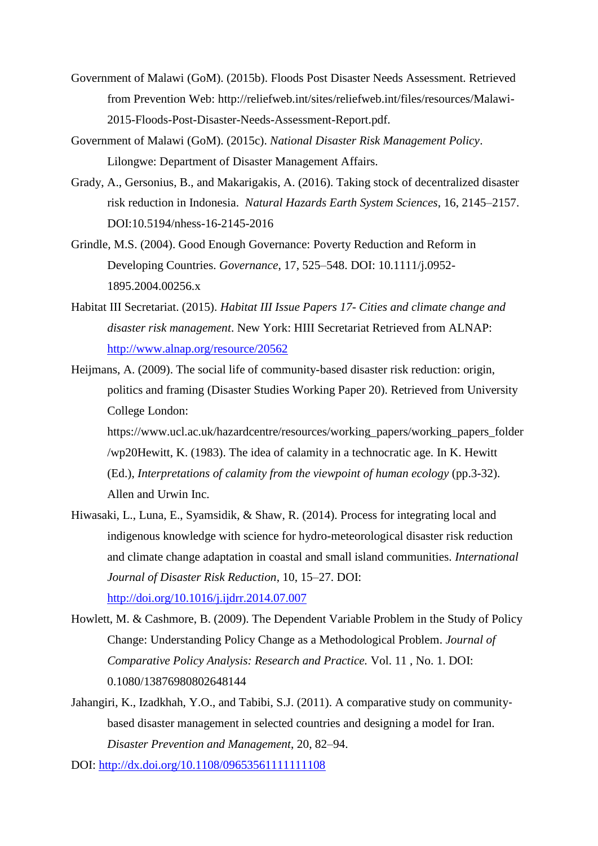- Government of Malawi (GoM). (2015b). Floods Post Disaster Needs Assessment. Retrieved from Prevention Web: http://reliefweb.int/sites/reliefweb.int/files/resources/Malawi-2015-Floods-Post-Disaster-Needs-Assessment-Report.pdf.
- Government of Malawi (GoM). (2015c). *National Disaster Risk Management Policy*. Lilongwe: Department of Disaster Management Affairs.
- Grady, A., Gersonius, B., and Makarigakis, A. (2016). Taking stock of decentralized disaster risk reduction in Indonesia. *Natural Hazards Earth System Sciences*, 16, 2145–2157. DOI:10.5194/nhess-16-2145-2016
- Grindle, M.S. (2004). Good Enough Governance: Poverty Reduction and Reform in Developing Countries. *Governance*, 17, 525–548. DOI: 10.1111/j.0952- 1895.2004.00256.x
- Habitat III Secretariat. (2015). *Habitat III Issue Papers 17- Cities and climate change and disaster risk management*. New York: HIII Secretariat Retrieved from ALNAP: <http://www.alnap.org/resource/20562>
- Heijmans, A. (2009). The social life of community-based disaster risk reduction: origin, politics and framing (Disaster Studies Working Paper 20). Retrieved from University College London:

https://www.ucl.ac.uk/hazardcentre/resources/working\_papers/working\_papers\_folder /wp20Hewitt, K. (1983). The idea of calamity in a technocratic age. In K. Hewitt (Ed.), *Interpretations of calamity from the viewpoint of human ecology* (pp.3-32). Allen and Urwin Inc.

- Hiwasaki, L., Luna, E., Syamsidik, & Shaw, R. (2014). Process for integrating local and indigenous knowledge with science for hydro-meteorological disaster risk reduction and climate change adaptation in coastal and small island communities. *International Journal of Disaster Risk Reduction*, 10, 15–27. DOI: <http://doi.org/10.1016/j.ijdrr.2014.07.007>
- Howlett, M. & Cashmore, B. (2009). [The Dependent Variable Problem in the Study of Policy](http://www.tandfonline.com/doi/full/10.1080/13876980802648144)  [Change: Understanding Policy Change as a Methodological Problem.](http://www.tandfonline.com/doi/full/10.1080/13876980802648144) *[Journal of](http://www.tandfonline.com/toc/fcpa20/11/1)  [Comparative Policy Analysis: Research and Practice.](http://www.tandfonline.com/toc/fcpa20/11/1)* Vol. 11 , No. 1. DOI: 0.1080/13876980802648144
- Jahangiri, K., Izadkhah, Y.O., and Tabibi, S.J. (2011). A comparative study on community‐ based disaster management in selected countries and designing a model for Iran. *Disaster Prevention and Management*, 20, 82–94.

DOI:<http://dx.doi.org/10.1108/09653561111111108>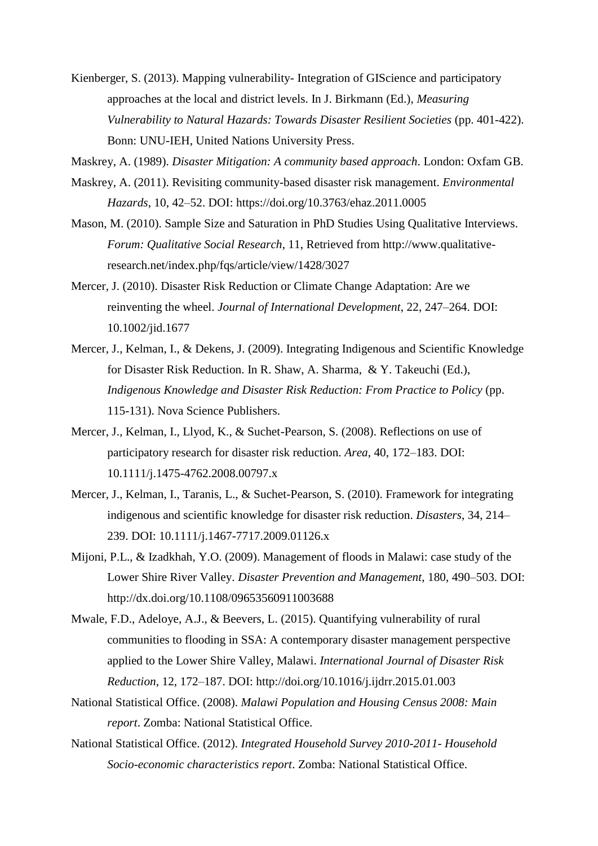Kienberger, S. (2013). Mapping vulnerability- Integration of GIScience and participatory approaches at the local and district levels. In J. Birkmann (Ed.), *Measuring Vulnerability to Natural Hazards: Towards Disaster Resilient Societies (pp. 401-422).* Bonn: UNU-IEH, United Nations University Press.

Maskrey, A. (1989). *Disaster Mitigation: A community based approach*. London: Oxfam GB.

- Maskrey, A. (2011). Revisiting community-based disaster risk management. *Environmental Hazards*, 10, 42–52. DOI: https://doi.org/10.3763/ehaz.2011.0005
- Mason, M. (2010). Sample Size and Saturation in PhD Studies Using Qualitative Interviews. *Forum: Qualitative Social Research*, 11, Retrieved from http://www.qualitativeresearch.net/index.php/fqs/article/view/1428/3027
- Mercer, J. (2010). Disaster Risk Reduction or Climate Change Adaptation: Are we reinventing the wheel. *Journal of International Development*, 22, 247–264. DOI: 10.1002/jid.1677
- Mercer, J., Kelman, I., & Dekens, J. (2009). Integrating Indigenous and Scientific Knowledge for Disaster Risk Reduction. In R. Shaw, A. Sharma, & Y. Takeuchi (Ed.), *Indigenous Knowledge and Disaster Risk Reduction: From Practice to Policy (pp.* 115-131). Nova Science Publishers.
- Mercer, J., Kelman, I., Llyod, K., & Suchet-Pearson, S. (2008). Reflections on use of participatory research for disaster risk reduction. *Area*, 40, 172–183. DOI: 10.1111/j.1475-4762.2008.00797.x
- Mercer, J., Kelman, I., Taranis, L., & Suchet-Pearson, S. (2010). Framework for integrating indigenous and scientific knowledge for disaster risk reduction. *Disasters*, 34, 214– 239. DOI: 10.1111/j.1467-7717.2009.01126.x
- Mijoni, P.L., & Izadkhah, Y.O. (2009). Management of floods in Malawi: case study of the Lower Shire River Valley. *Disaster Prevention and Management*, 180, 490–503. DOI: http://dx.doi.org/10.1108/09653560911003688
- Mwale, F.D., Adeloye, A.J., & Beevers, L. (2015). Quantifying vulnerability of rural communities to flooding in SSA: A contemporary disaster management perspective applied to the Lower Shire Valley, Malawi. *International Journal of Disaster Risk Reduction*, 12, 172–187. DOI: http://doi.org/10.1016/j.ijdrr.2015.01.003
- National Statistical Office. (2008). *Malawi Population and Housing Census 2008: Main report*. Zomba: National Statistical Office.
- National Statistical Office. (2012). *Integrated Household Survey 2010-2011- Household Socio-economic characteristics report*. Zomba: National Statistical Office.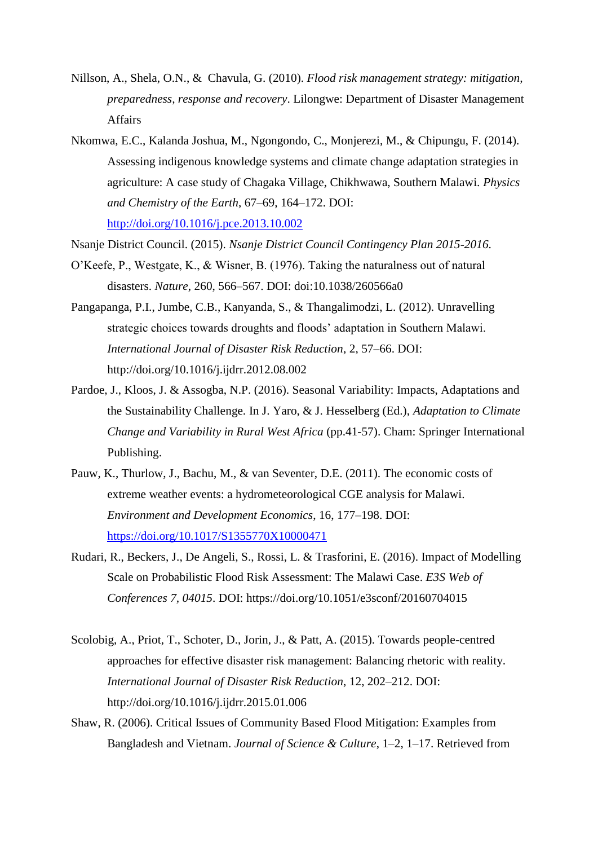- Nillson, A., Shela, O.N., & Chavula, G. (2010). *Flood risk management strategy: mitigation, preparedness, response and recovery*. Lilongwe: Department of Disaster Management Affairs
- Nkomwa, E.C., Kalanda Joshua, M., Ngongondo, C., Monjerezi, M., & Chipungu, F. (2014). Assessing indigenous knowledge systems and climate change adaptation strategies in agriculture: A case study of Chagaka Village, Chikhwawa, Southern Malawi. *Physics and Chemistry of the Earth*, 67–69, 164–172. DOI: <http://doi.org/10.1016/j.pce.2013.10.002>
- Nsanje District Council. (2015). *Nsanje District Council Contingency Plan 2015-2016*.
- O'Keefe, P., Westgate, K., & Wisner, B. (1976). Taking the naturalness out of natural disasters. *Nature*, 260, 566–567. DOI: doi:10.1038/260566a0
- Pangapanga, P.I., Jumbe, C.B., Kanyanda, S., & Thangalimodzi, L. (2012). Unravelling strategic choices towards droughts and floods' adaptation in Southern Malawi. *International Journal of Disaster Risk Reduction*, 2, 57–66. DOI: http://doi.org/10.1016/j.ijdrr.2012.08.002
- Pardoe, J., Kloos, J. & Assogba, N.P. (2016). Seasonal Variability: Impacts, Adaptations and the Sustainability Challenge. In J. Yaro, & J. Hesselberg (Ed.), *Adaptation to Climate Change and Variability in Rural West Africa* (pp.41-57). Cham: Springer International Publishing.
- Pauw, K., Thurlow, J., Bachu, M., & van Seventer, D.E. (2011). The economic costs of extreme weather events: a hydrometeorological CGE analysis for Malawi. *Environment and Development Economics*, 16, 177–198. DOI: <https://doi.org/10.1017/S1355770X10000471>
- Rudari, R., Beckers, J., De Angeli, S., Rossi, L. & Trasforini, E. (2016). Impact of Modelling Scale on Probabilistic Flood Risk Assessment: The Malawi Case. *E3S Web of Conferences 7, 04015*. DOI: https://doi.org/10.1051/e3sconf/20160704015
- Scolobig, A., Priot, T., Schoter, D., Jorin, J., & Patt, A. (2015). Towards people-centred approaches for effective disaster risk management: Balancing rhetoric with reality. *International Journal of Disaster Risk Reduction*, 12, 202–212. DOI: http://doi.org/10.1016/j.ijdrr.2015.01.006
- Shaw, R. (2006). Critical Issues of Community Based Flood Mitigation: Examples from Bangladesh and Vietnam. *Journal of Science & Culture*, 1–2, 1–17. Retrieved from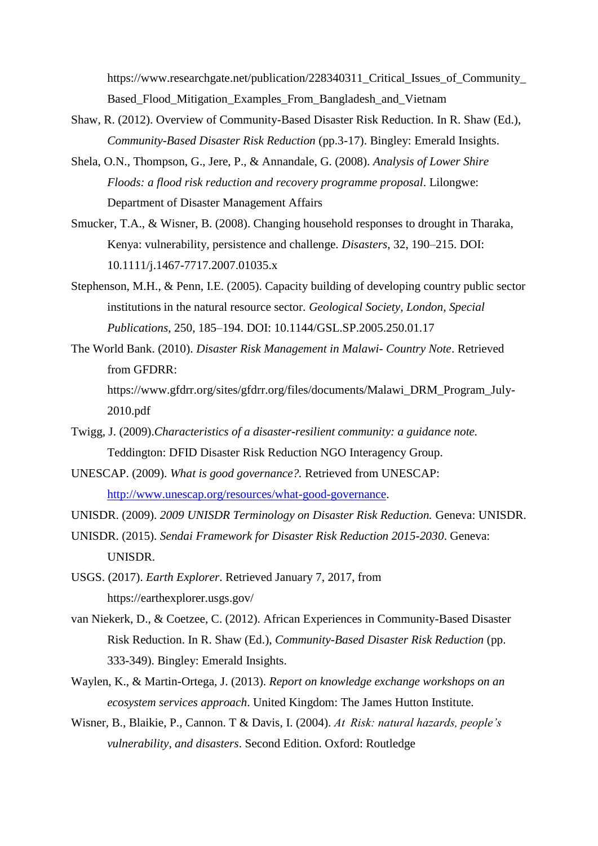https://www.researchgate.net/publication/228340311\_Critical\_Issues\_of\_Community\_ Based Flood Mitigation Examples From Bangladesh and Vietnam

- Shaw, R. (2012). Overview of Community-Based Disaster Risk Reduction. In R. Shaw (Ed.), *Community-Based Disaster Risk Reduction* (pp.3-17). Bingley: Emerald Insights.
- Shela, O.N., Thompson, G., Jere, P., & Annandale, G. (2008). *Analysis of Lower Shire Floods: a flood risk reduction and recovery programme proposal*. Lilongwe: Department of Disaster Management Affairs
- Smucker, T.A., & Wisner, B. (2008). Changing household responses to drought in Tharaka, Kenya: vulnerability, persistence and challenge. *Disasters*, 32, 190–215. DOI: 10.1111/j.1467-7717.2007.01035.x
- Stephenson, M.H., & Penn, I.E. (2005). Capacity building of developing country public sector institutions in the natural resource sector. *Geological Society, London, Special Publications*, 250, 185–194. DOI: 10.1144/GSL.SP.2005.250.01.17
- The World Bank. (2010). *Disaster Risk Management in Malawi- Country Note*. Retrieved from GFDRR:

https://www.gfdrr.org/sites/gfdrr.org/files/documents/Malawi\_DRM\_Program\_July-2010.pdf

- Twigg, J. (2009).*Characteristics of a disaster-resilient community: a guidance note.* Teddington: DFID Disaster Risk Reduction NGO Interagency Group.
- UNESCAP. (2009). *What is good governance?.* Retrieved from UNESCAP: [http://www.unescap.org/resources/what-good-governance.](http://www.unescap.org/resources/what-good-governance)
- UNISDR. (2009). *2009 UNISDR Terminology on Disaster Risk Reduction.* Geneva: UNISDR.
- UNISDR. (2015). *Sendai Framework for Disaster Risk Reduction 2015-2030*. Geneva: UNISDR.
- USGS. (2017). *Earth Explorer*. Retrieved January 7, 2017, from https://earthexplorer.usgs.gov/
- van Niekerk, D., & Coetzee, C. (2012). African Experiences in Community-Based Disaster Risk Reduction. In R. Shaw (Ed.), *Community-Based Disaster Risk Reduction* (pp. 333-349). Bingley: Emerald Insights.
- Waylen, K., & Martin-Ortega, J. (2013). *Report on knowledge exchange workshops on an ecosystem services approach*. United Kingdom: The James Hutton Institute.
- Wisner, B., Blaikie, P., Cannon. T & Davis, I. (2004). *At  Risk: natural hazards, people's vulnerability, and disasters*. Second Edition. Oxford: Routledge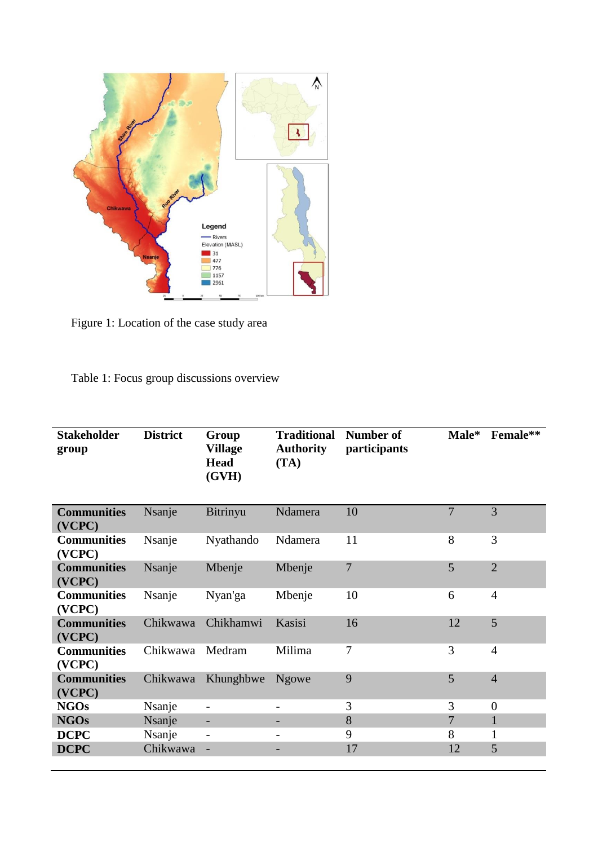

Figure 1: Location of the case study area

Table 1: Focus group discussions overview

| <b>Stakeholder</b><br>group  | <b>District</b> | Group<br><b>Village</b><br><b>Head</b><br>(GVH) | <b>Traditional</b><br><b>Authority</b><br>(TA) | Number of<br>participants | Male*          | Female**       |
|------------------------------|-----------------|-------------------------------------------------|------------------------------------------------|---------------------------|----------------|----------------|
| <b>Communities</b><br>(VCPC) | Nsanje          | Bitrinyu                                        | Ndamera                                        | 10                        | $\overline{7}$ | 3              |
| <b>Communities</b><br>(VCPC) | Nsanje          | Nyathando                                       | Ndamera                                        | 11                        | 8              | 3              |
| <b>Communities</b><br>(VCPC) | Nsanje          | Mbenje                                          | Mbenje                                         | 7                         | 5              | $\overline{2}$ |
| <b>Communities</b><br>(VCPC) | Nsanje          | Nyan'ga                                         | Mbenje                                         | 10                        | 6              | $\overline{4}$ |
| <b>Communities</b><br>(VCPC) | Chikwawa        | Chikhamwi                                       | Kasisi                                         | 16                        | 12             | 5              |
| <b>Communities</b><br>(VCPC) | Chikwawa        | Medram                                          | Milima                                         | 7                         | 3              | $\overline{4}$ |
| <b>Communities</b><br>(VCPC) | Chikwawa        | Khunghbwe                                       | <b>Ngowe</b>                                   | 9                         | 5              | $\overline{4}$ |
| <b>NGOs</b>                  | Nsanje          | $\overline{\phantom{0}}$                        | -                                              | 3                         | 3              | $\overline{0}$ |
| <b>NGOs</b>                  | Nsanje          | $\overline{\phantom{0}}$                        |                                                | 8                         | 7              | $\mathbf{1}$   |
| <b>DCPC</b>                  | Nsanje          | $\overline{a}$                                  |                                                | 9                         | 8              | 1              |
| <b>DCPC</b>                  | Chikwawa        |                                                 |                                                | 17                        | 12             | 5              |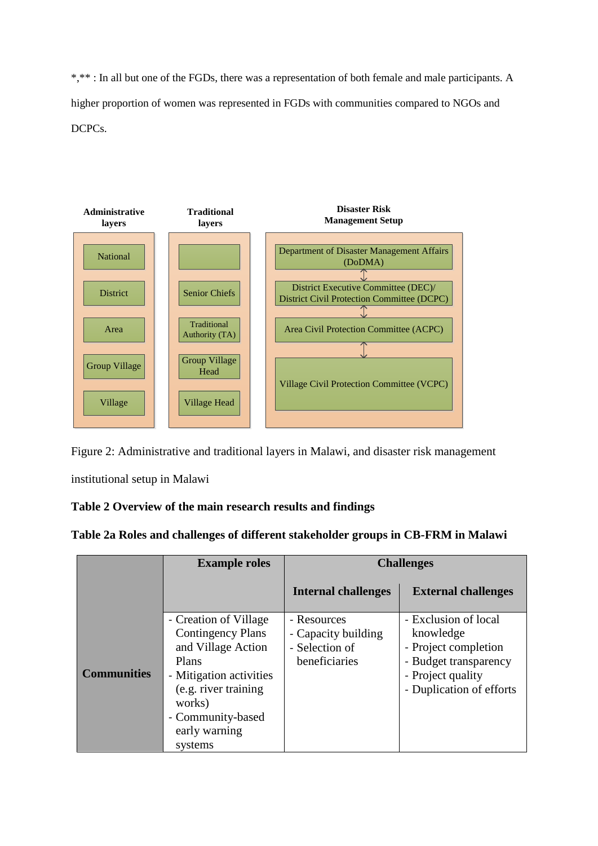\*,\*\* : In all but one of the FGDs, there was a representation of both female and male participants. A higher proportion of women was represented in FGDs with communities compared to NGOs and DCPCs.



Figure 2: Administrative and traditional layers in Malawi, and disaster risk management

institutional setup in Malawi

# **Table 2 Overview of the main research results and findings**

| Table 2a Roles and challenges of different stakeholder groups in CB-FRM in Malawi |  |  |  |  |  |  |
|-----------------------------------------------------------------------------------|--|--|--|--|--|--|
|-----------------------------------------------------------------------------------|--|--|--|--|--|--|

|                    | <b>Example roles</b>                                                                                                                                                                           | <b>Challenges</b>                                                     |                                                                                                                                     |  |
|--------------------|------------------------------------------------------------------------------------------------------------------------------------------------------------------------------------------------|-----------------------------------------------------------------------|-------------------------------------------------------------------------------------------------------------------------------------|--|
|                    |                                                                                                                                                                                                | <b>Internal challenges</b>                                            | <b>External challenges</b>                                                                                                          |  |
| <b>Communities</b> | - Creation of Village<br><b>Contingency Plans</b><br>and Village Action<br>Plans<br>- Mitigation activities<br>(e.g. river training<br>works)<br>- Community-based<br>early warning<br>systems | - Resources<br>- Capacity building<br>- Selection of<br>beneficiaries | - Exclusion of local<br>knowledge<br>- Project completion<br>- Budget transparency<br>- Project quality<br>- Duplication of efforts |  |